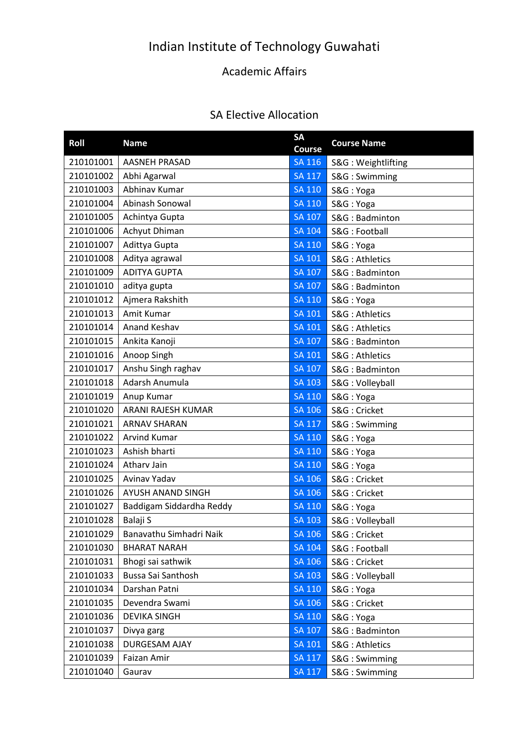## Indian Institute of Technology Guwahati

## Academic Affairs

## SA Elective Allocation

| Roll      | <b>Name</b>              | <b>SA</b><br><b>Course</b> | <b>Course Name</b> |
|-----------|--------------------------|----------------------------|--------------------|
| 210101001 | <b>AASNEH PRASAD</b>     | <b>SA 116</b>              | S&G: Weightlifting |
| 210101002 | Abhi Agarwal             | <b>SA 117</b>              | S&G: Swimming      |
| 210101003 | Abhinav Kumar            | SA 110                     | S&G: Yoga          |
| 210101004 | Abinash Sonowal          | <b>SA 110</b>              | S&G: Yoga          |
| 210101005 | Achintya Gupta           | <b>SA 107</b>              | S&G: Badminton     |
| 210101006 | Achyut Dhiman            | <b>SA 104</b>              | S&G: Football      |
| 210101007 | Adittya Gupta            | SA 110                     | S&G: Yoga          |
| 210101008 | Aditya agrawal           | <b>SA 101</b>              | S&G: Athletics     |
| 210101009 | <b>ADITYA GUPTA</b>      | <b>SA 107</b>              | S&G: Badminton     |
| 210101010 | aditya gupta             | <b>SA 107</b>              | S&G: Badminton     |
| 210101012 | Ajmera Rakshith          | <b>SA 110</b>              | S&G: Yoga          |
| 210101013 | Amit Kumar               | <b>SA 101</b>              | S&G: Athletics     |
| 210101014 | Anand Keshav             | SA 101                     | S&G: Athletics     |
| 210101015 | Ankita Kanoji            | <b>SA 107</b>              | S&G: Badminton     |
| 210101016 | Anoop Singh              | <b>SA 101</b>              | S&G: Athletics     |
| 210101017 | Anshu Singh raghav       | <b>SA 107</b>              | S&G: Badminton     |
| 210101018 | Adarsh Anumula           | <b>SA 103</b>              | S&G: Volleyball    |
| 210101019 | Anup Kumar               | <b>SA 110</b>              | S&G: Yoga          |
| 210101020 | ARANI RAJESH KUMAR       | <b>SA 106</b>              | S&G: Cricket       |
| 210101021 | <b>ARNAV SHARAN</b>      | <b>SA 117</b>              | S&G: Swimming      |
| 210101022 | <b>Arvind Kumar</b>      | <b>SA 110</b>              | S&G: Yoga          |
| 210101023 | Ashish bharti            | <b>SA 110</b>              | S&G: Yoga          |
| 210101024 | Athary Jain              | <b>SA 110</b>              | S&G: Yoga          |
| 210101025 | Avinav Yadav             | <b>SA 106</b>              | S&G: Cricket       |
| 210101026 | AYUSH ANAND SINGH        | SA 106                     | S&G: Cricket       |
| 210101027 | Baddigam Siddardha Reddy | <b>SA 110</b>              | S&G: Yoga          |
| 210101028 | Balaji S                 | <b>SA 103</b>              | S&G: Volleyball    |
| 210101029 | Banavathu Simhadri Naik  | <b>SA 106</b>              | S&G: Cricket       |
| 210101030 | <b>BHARAT NARAH</b>      | <b>SA 104</b>              | S&G: Football      |
| 210101031 | Bhogi sai sathwik        | SA 106                     | S&G: Cricket       |
| 210101033 | Bussa Sai Santhosh       | <b>SA 103</b>              | S&G: Volleyball    |
| 210101034 | Darshan Patni            | <b>SA 110</b>              | S&G: Yoga          |
| 210101035 | Devendra Swami           | <b>SA 106</b>              | S&G: Cricket       |
| 210101036 | <b>DEVIKA SINGH</b>      | <b>SA 110</b>              | S&G: Yoga          |
| 210101037 | Divya garg               | SA 107                     | S&G: Badminton     |
| 210101038 | DURGESAM AJAY            | <b>SA 101</b>              | S&G: Athletics     |
| 210101039 | Faizan Amir              | <b>SA 117</b>              | S&G: Swimming      |
| 210101040 | Gaurav                   | <b>SA 117</b>              | S&G: Swimming      |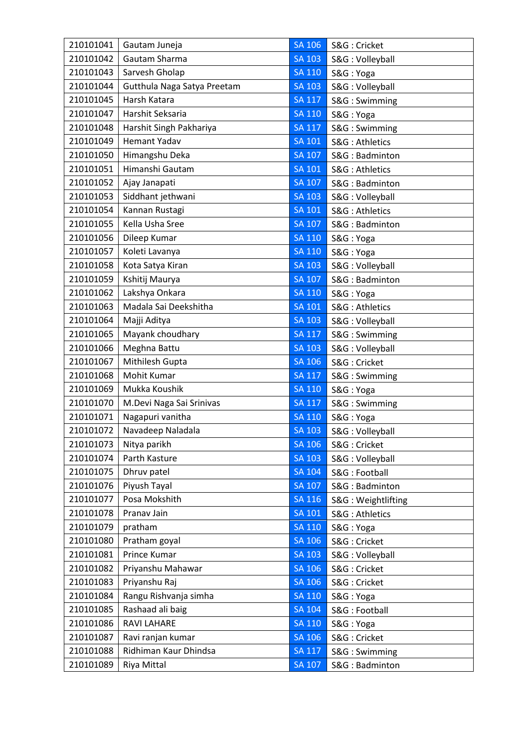| 210101041 | Gautam Juneja               | <b>SA 106</b> | S&G: Cricket       |
|-----------|-----------------------------|---------------|--------------------|
| 210101042 | Gautam Sharma               | <b>SA 103</b> | S&G: Volleyball    |
| 210101043 | Sarvesh Gholap              | <b>SA 110</b> | S&G: Yoga          |
| 210101044 | Gutthula Naga Satya Preetam | <b>SA 103</b> | S&G: Volleyball    |
| 210101045 | Harsh Katara                | $SA$ $117$    | S&G: Swimming      |
| 210101047 | Harshit Seksaria            | <b>SA 110</b> | S&G: Yoga          |
| 210101048 | Harshit Singh Pakhariya     | <b>SA 117</b> | S&G: Swimming      |
| 210101049 | <b>Hemant Yadav</b>         | SA 101        | S&G: Athletics     |
| 210101050 | Himangshu Deka              | <b>SA 107</b> | S&G: Badminton     |
| 210101051 | Himanshi Gautam             | <b>SA 101</b> | S&G: Athletics     |
| 210101052 | Ajay Janapati               | <b>SA 107</b> | S&G: Badminton     |
| 210101053 | Siddhant jethwani           | <b>SA 103</b> | S&G: Volleyball    |
| 210101054 | Kannan Rustagi              | <b>SA 101</b> | S&G: Athletics     |
| 210101055 | Kella Usha Sree             | SA 107        | S&G: Badminton     |
| 210101056 | Dileep Kumar                | <b>SA 110</b> | S&G: Yoga          |
| 210101057 | Koleti Lavanya              | <b>SA 110</b> | S&G: Yoga          |
| 210101058 | Kota Satya Kiran            | <b>SA 103</b> | S&G: Volleyball    |
| 210101059 | Kshitij Maurya              | SA 107        | S&G: Badminton     |
| 210101062 | Lakshya Onkara              | <b>SA 110</b> | S&G: Yoga          |
| 210101063 | Madala Sai Deekshitha       | SA 101        | S&G: Athletics     |
| 210101064 | Majji Aditya                | <b>SA 103</b> | S&G: Volleyball    |
| 210101065 | Mayank choudhary            | <b>SA 117</b> | S&G: Swimming      |
| 210101066 | Meghna Battu                | <b>SA 103</b> | S&G: Volleyball    |
| 210101067 | Mithilesh Gupta             | <b>SA 106</b> | S&G: Cricket       |
| 210101068 | Mohit Kumar                 | <b>SA 117</b> | S&G: Swimming      |
| 210101069 | Mukka Koushik               | <b>SA 110</b> | S&G: Yoga          |
| 210101070 | M.Devi Naga Sai Srinivas    | <b>SA 117</b> | S&G: Swimming      |
| 210101071 | Nagapuri vanitha            | <b>SA 110</b> | S&G: Yoga          |
| 210101072 | Navadeep Naladala           | <b>SA 103</b> | S&G: Volleyball    |
| 210101073 | Nitya parikh                | <b>SA 106</b> | S&G: Cricket       |
| 210101074 | Parth Kasture               | <b>SA 103</b> | S&G: Volleyball    |
| 210101075 | Dhruv patel                 | <b>SA 104</b> | S&G: Football      |
| 210101076 | Piyush Tayal                | <b>SA 107</b> | S&G: Badminton     |
| 210101077 | Posa Mokshith               | <b>SA 116</b> | S&G: Weightlifting |
| 210101078 | Pranav Jain                 | <b>SA 101</b> | S&G: Athletics     |
| 210101079 | pratham                     | <b>SA 110</b> | S&G: Yoga          |
| 210101080 | Pratham goyal               | SA 106        | S&G: Cricket       |
| 210101081 | Prince Kumar                | <b>SA 103</b> | S&G: Volleyball    |
| 210101082 | Priyanshu Mahawar           | <b>SA 106</b> | S&G: Cricket       |
| 210101083 | Priyanshu Raj               | <b>SA 106</b> | S&G: Cricket       |
| 210101084 | Rangu Rishvanja simha       | <b>SA 110</b> | S&G: Yoga          |
| 210101085 | Rashaad ali baig            | <b>SA 104</b> | S&G: Football      |
| 210101086 | <b>RAVI LAHARE</b>          | SA 110        | S&G: Yoga          |
| 210101087 | Ravi ranjan kumar           | <b>SA 106</b> | S&G: Cricket       |
| 210101088 | Ridhiman Kaur Dhindsa       | SA 117        | S&G: Swimming      |
| 210101089 | Riya Mittal                 | <b>SA 107</b> | S&G: Badminton     |
|           |                             |               |                    |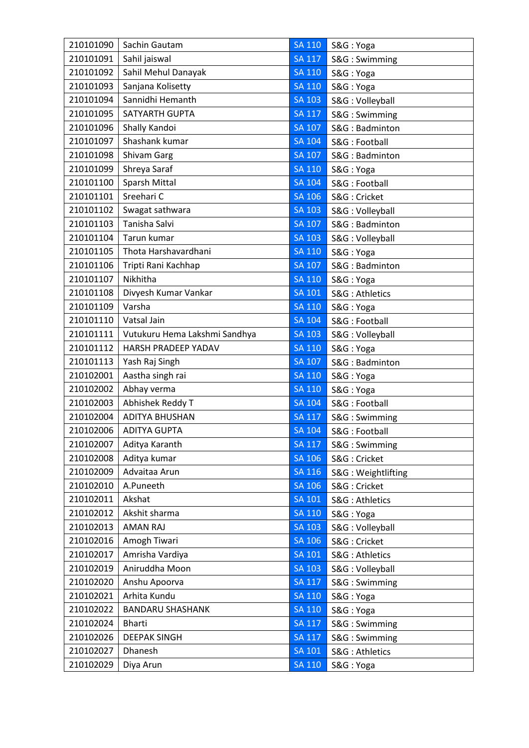| 210101090 | Sachin Gautam                 | <b>SA 110</b> | S&G: Yoga          |
|-----------|-------------------------------|---------------|--------------------|
| 210101091 | Sahil jaiswal                 | <b>SA 117</b> | S&G: Swimming      |
| 210101092 | Sahil Mehul Danayak           | <b>SA 110</b> | S&G: Yoga          |
| 210101093 | Sanjana Kolisetty             | <b>SA 110</b> | S&G: Yoga          |
| 210101094 | Sannidhi Hemanth              | <b>SA 103</b> | S&G: Volleyball    |
| 210101095 | <b>SATYARTH GUPTA</b>         | <b>SA 117</b> | S&G: Swimming      |
| 210101096 | Shally Kandoi                 | SA 107        | S&G: Badminton     |
| 210101097 | Shashank kumar                | SA 104        | S&G: Football      |
| 210101098 | Shivam Garg                   | <b>SA 107</b> | S&G: Badminton     |
| 210101099 | Shreya Saraf                  | <b>SA 110</b> | S&G: Yoga          |
| 210101100 | Sparsh Mittal                 | <b>SA 104</b> | S&G: Football      |
| 210101101 | Sreehari C                    | SA 106        | S&G: Cricket       |
| 210101102 | Swagat sathwara               | <b>SA 103</b> | S&G: Volleyball    |
| 210101103 | Tanisha Salvi                 | SA 107        | S&G: Badminton     |
| 210101104 | Tarun kumar                   | <b>SA 103</b> | S&G: Volleyball    |
| 210101105 | Thota Harshavardhani          | <b>SA 110</b> | S&G: Yoga          |
| 210101106 | Tripti Rani Kachhap           | <b>SA 107</b> | S&G: Badminton     |
| 210101107 | Nikhitha                      | SA 110        | S&G: Yoga          |
| 210101108 | Divyesh Kumar Vankar          | SA 101        | S&G: Athletics     |
| 210101109 | Varsha                        | <b>SA 110</b> | S&G: Yoga          |
| 210101110 | Vatsal Jain                   | <b>SA 104</b> | S&G: Football      |
| 210101111 | Vutukuru Hema Lakshmi Sandhya | <b>SA 103</b> | S&G: Volleyball    |
| 210101112 | HARSH PRADEEP YADAV           | <b>SA 110</b> | S&G: Yoga          |
| 210101113 | Yash Raj Singh                | <b>SA 107</b> | S&G: Badminton     |
| 210102001 | Aastha singh rai              | <b>SA 110</b> | S&G: Yoga          |
| 210102002 | Abhay verma                   | <b>SA 110</b> | S&G: Yoga          |
| 210102003 | Abhishek Reddy T              | <b>SA 104</b> | S&G: Football      |
| 210102004 | <b>ADITYA BHUSHAN</b>         | <b>SA 117</b> | S&G: Swimming      |
| 210102006 | <b>ADITYA GUPTA</b>           | <b>SA 104</b> | S&G: Football      |
| 210102007 | Aditya Karanth                | <b>SA 117</b> | S&G: Swimming      |
| 210102008 | Aditya kumar                  | SA 106        | S&G: Cricket       |
| 210102009 | Advaitaa Arun                 | SA 116        | S&G: Weightlifting |
| 210102010 | A.Puneeth                     | <b>SA 106</b> | S&G: Cricket       |
| 210102011 | Akshat                        | <b>SA 101</b> | S&G: Athletics     |
| 210102012 | Akshit sharma                 | <b>SA 110</b> | S&G: Yoga          |
| 210102013 | <b>AMAN RAJ</b>               | <b>SA 103</b> | S&G: Volleyball    |
| 210102016 | Amogh Tiwari                  | <b>SA 106</b> | S&G: Cricket       |
| 210102017 | Amrisha Vardiya               | <b>SA 101</b> | S&G: Athletics     |
| 210102019 | Aniruddha Moon                | <b>SA 103</b> | S&G: Volleyball    |
| 210102020 | Anshu Apoorva                 | <b>SA 117</b> | S&G: Swimming      |
| 210102021 | Arhita Kundu                  | <b>SA 110</b> | S&G: Yoga          |
| 210102022 | <b>BANDARU SHASHANK</b>       | <b>SA 110</b> | S&G: Yoga          |
| 210102024 | <b>Bharti</b>                 | <b>SA 117</b> | S&G: Swimming      |
| 210102026 | <b>DEEPAK SINGH</b>           | <b>SA 117</b> | S&G: Swimming      |
| 210102027 | Dhanesh                       | SA 101        | S&G: Athletics     |
| 210102029 | Diya Arun                     | <b>SA 110</b> | S&G: Yoga          |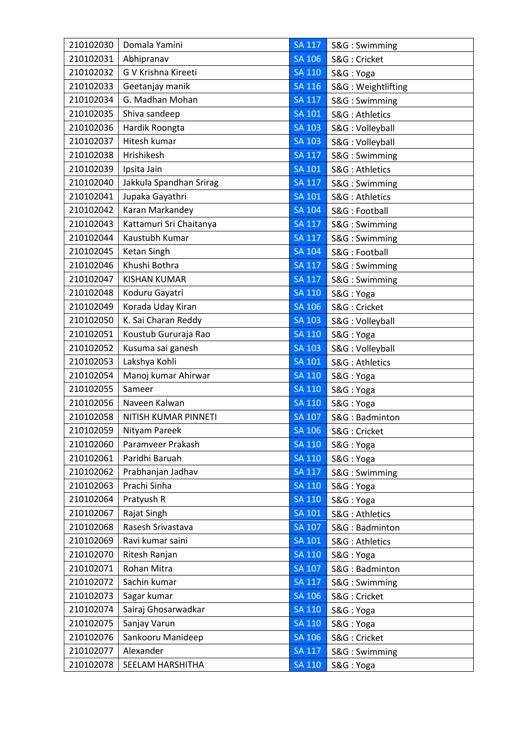| 210102030 | Domala Yamini           | <b>SA 117</b> | S&G: Swimming      |
|-----------|-------------------------|---------------|--------------------|
| 210102031 | Abhipranav              | <b>SA 106</b> | S&G: Cricket       |
| 210102032 | G V Krishna Kireeti     | SA 110        | S&G: Yoga          |
| 210102033 | Geetanjay manik         | <b>SA 116</b> | S&G: Weightlifting |
| 210102034 | G. Madhan Mohan         | <b>SA 117</b> | S&G: Swimming      |
| 210102035 | Shiva sandeep           | <b>SA 101</b> | S&G: Athletics     |
| 210102036 | Hardik Roongta          | <b>SA 103</b> | S&G: Volleyball    |
| 210102037 | Hitesh kumar            | <b>SA 103</b> | S&G: Volleyball    |
| 210102038 | Hrishikesh              | <b>SA 117</b> | S&G: Swimming      |
| 210102039 | Ipsita Jain             | <b>SA 101</b> | S&G: Athletics     |
| 210102040 | Jakkula Spandhan Srirag | <b>SA 117</b> | S&G: Swimming      |
| 210102041 | Jupaka Gayathri         | SA 101        | S&G: Athletics     |
| 210102042 | Karan Markandey         | <b>SA 104</b> | S&G: Football      |
| 210102043 | Kattamuri Sri Chaitanya | <b>SA 117</b> | S&G: Swimming      |
| 210102044 | Kaustubh Kumar          | <b>SA 117</b> | S&G: Swimming      |
| 210102045 | Ketan Singh             | <b>SA 104</b> | S&G: Football      |
| 210102046 | Khushi Bothra           | <b>SA 117</b> | S&G: Swimming      |
| 210102047 | <b>KISHAN KUMAR</b>     | <b>SA 117</b> | S&G: Swimming      |
| 210102048 | Koduru Gayatri          | <b>SA 110</b> | S&G: Yoga          |
| 210102049 | Korada Uday Kiran       | SA 106        | S&G: Cricket       |
| 210102050 | K. Sai Charan Reddy     | <b>SA 103</b> | S&G: Volleyball    |
| 210102051 | Koustub Gururaja Rao    | <b>SA 110</b> | S&G: Yoga          |
| 210102052 | Kusuma sai ganesh       | <b>SA 103</b> | S&G: Volleyball    |
| 210102053 | Lakshya Kohli           | SA 101        | S&G: Athletics     |
| 210102054 | Manoj kumar Ahirwar     | <b>SA 110</b> | S&G: Yoga          |
| 210102055 | Sameer                  | SA 110        | S&G: Yoga          |
| 210102056 | Naveen Kalwan           | <b>SA 110</b> | S&G: Yoga          |
| 210102058 | NITISH KUMAR PINNETI    | <b>SA 107</b> | S&G: Badminton     |
| 210102059 | Nityam Pareek           | <b>SA 106</b> | S&G: Cricket       |
| 210102060 | Paramveer Prakash       | <b>SA 110</b> | S&G: Yoga          |
| 210102061 | Paridhi Baruah          | <b>SA 110</b> | S&G: Yoga          |
| 210102062 | Prabhanjan Jadhav       | <b>SA 117</b> | S&G: Swimming      |
| 210102063 | Prachi Sinha            | <b>SA 110</b> | S&G: Yoga          |
| 210102064 | Pratyush R              | <b>SA 110</b> | S&G: Yoga          |
| 210102067 | Rajat Singh             | $SA$ $101$    | S&G: Athletics     |
| 210102068 | Rasesh Srivastava       | SA 107        | S&G: Badminton     |
| 210102069 | Ravi kumar saini        | <b>SA 101</b> | S&G: Athletics     |
| 210102070 | Ritesh Ranjan           | <b>SA 110</b> | S&G: Yoga          |
| 210102071 | Rohan Mitra             | <b>SA 107</b> | S&G: Badminton     |
| 210102072 | Sachin kumar            | <b>SA 117</b> | S&G: Swimming      |
| 210102073 | Sagar kumar             | <b>SA 106</b> | S&G: Cricket       |
| 210102074 | Sairaj Ghosarwadkar     | <b>SA 110</b> | S&G: Yoga          |
| 210102075 | Sanjay Varun            | SA 110        | S&G: Yoga          |
| 210102076 | Sankooru Manideep       | <b>SA 106</b> | S&G: Cricket       |
| 210102077 | Alexander               | <b>SA 117</b> | S&G: Swimming      |
| 210102078 | SEELAM HARSHITHA        | <b>SA 110</b> | S&G: Yoga          |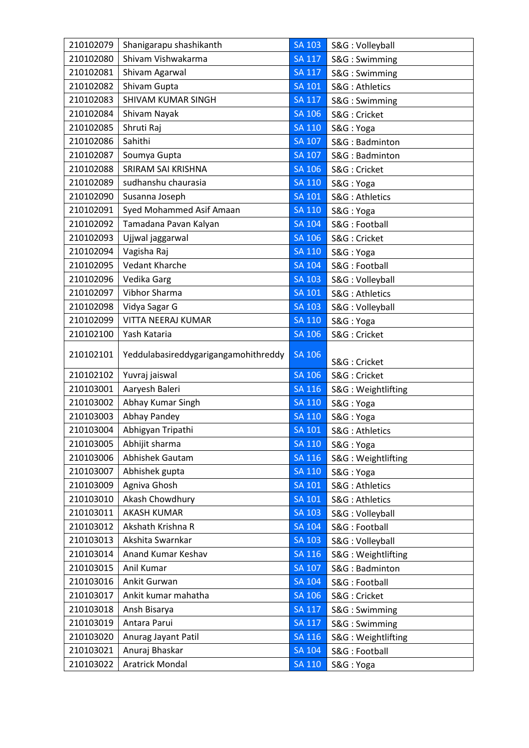| 210102079 | Shanigarapu shashikanth              | <b>SA 103</b> | S&G: Volleyball    |
|-----------|--------------------------------------|---------------|--------------------|
| 210102080 | Shivam Vishwakarma                   | <b>SA 117</b> | S&G: Swimming      |
| 210102081 | Shivam Agarwal                       | SA 117        | S&G: Swimming      |
| 210102082 | Shivam Gupta                         | <b>SA 101</b> | S&G: Athletics     |
| 210102083 | SHIVAM KUMAR SINGH                   | <b>SA 117</b> | S&G: Swimming      |
| 210102084 | Shivam Nayak                         | SA 106        | S&G: Cricket       |
| 210102085 | Shruti Raj                           | SA 110        | S&G: Yoga          |
| 210102086 | Sahithi                              | SA 107        | S&G: Badminton     |
| 210102087 | Soumya Gupta                         | <b>SA 107</b> | S&G: Badminton     |
| 210102088 | SRIRAM SAI KRISHNA                   | <b>SA 106</b> | S&G: Cricket       |
| 210102089 | sudhanshu chaurasia                  | <b>SA 110</b> | S&G: Yoga          |
| 210102090 | Susanna Joseph                       | SA 101        | S&G: Athletics     |
| 210102091 | Syed Mohammed Asif Amaan             | <b>SA 110</b> | S&G: Yoga          |
| 210102092 | Tamadana Pavan Kalyan                | SA 104        | S&G: Football      |
| 210102093 | Ujjwal jaggarwal                     | <b>SA 106</b> | S&G: Cricket       |
| 210102094 | Vagisha Raj                          | <b>SA 110</b> | S&G: Yoga          |
| 210102095 | <b>Vedant Kharche</b>                | <b>SA 104</b> | S&G: Football      |
| 210102096 | Vedika Garg                          | SA 103        | S&G: Volleyball    |
| 210102097 | Vibhor Sharma                        | <b>SA 101</b> | S&G: Athletics     |
| 210102098 | Vidya Sagar G                        | <b>SA 103</b> | S&G: Volleyball    |
| 210102099 | VITTA NEERAJ KUMAR                   | <b>SA 110</b> | S&G: Yoga          |
| 210102100 | Yash Kataria                         | <b>SA 106</b> | S&G: Cricket       |
| 210102101 | Yeddulabasireddygarigangamohithreddy | SA 106        | S&G: Cricket       |
| 210102102 | Yuvraj jaiswal                       | SA 106        | S&G: Cricket       |
| 210103001 | Aaryesh Baleri                       | SA 116        | S&G: Weightlifting |
| 210103002 | Abhay Kumar Singh                    | <b>SA 110</b> | S&G: Yoga          |
| 210103003 | Abhay Pandey                         | <b>SA 110</b> | S&G: Yoga          |
| 210103004 | Abhigyan Tripathi                    | SA 101        | S&G: Athletics     |
| 210103005 | Abhijit sharma                       | <b>SA 110</b> | S&G: Yoga          |
| 210103006 | Abhishek Gautam                      | <b>SA 116</b> | S&G: Weightlifting |
| 210103007 | Abhishek gupta                       | <b>SA 110</b> | S&G: Yoga          |
| 210103009 | Agniva Ghosh                         | <b>SA 101</b> | S&G: Athletics     |
| 210103010 | Akash Chowdhury                      | <b>SA 101</b> | S&G: Athletics     |
| 210103011 | <b>AKASH KUMAR</b>                   | <b>SA 103</b> | S&G: Volleyball    |
| 210103012 | Akshath Krishna R                    | <b>SA 104</b> | S&G: Football      |
| 210103013 | Akshita Swarnkar                     | <b>SA 103</b> | S&G: Volleyball    |
| 210103014 | Anand Kumar Keshav                   | SA 116        | S&G: Weightlifting |
| 210103015 | Anil Kumar                           | <b>SA 107</b> | S&G: Badminton     |
| 210103016 | Ankit Gurwan                         | <b>SA 104</b> | S&G: Football      |
| 210103017 | Ankit kumar mahatha                  | <b>SA 106</b> | S&G: Cricket       |
| 210103018 | Ansh Bisarya                         | <b>SA 117</b> | S&G: Swimming      |
| 210103019 | Antara Parui                         | <b>SA 117</b> | S&G: Swimming      |
| 210103020 | Anurag Jayant Patil                  | SA 116        | S&G: Weightlifting |
| 210103021 | Anuraj Bhaskar                       | <b>SA 104</b> | S&G: Football      |
| 210103022 | <b>Aratrick Mondal</b>               | <b>SA 110</b> | S&G: Yoga          |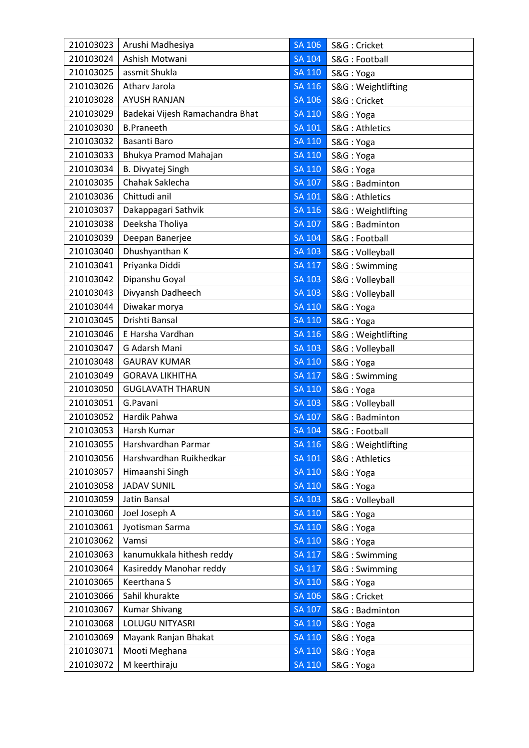| 210103023 | Arushi Madhesiya                | <b>SA 106</b> | S&G: Cricket       |
|-----------|---------------------------------|---------------|--------------------|
| 210103024 | Ashish Motwani                  | <b>SA 104</b> | S&G: Football      |
| 210103025 | assmit Shukla                   | <b>SA 110</b> | S&G: Yoga          |
| 210103026 | Atharv Jarola                   | <b>SA 116</b> | S&G: Weightlifting |
| 210103028 | <b>AYUSH RANJAN</b>             | <b>SA 106</b> | S&G: Cricket       |
| 210103029 | Badekai Vijesh Ramachandra Bhat | <b>SA 110</b> | S&G: Yoga          |
| 210103030 | <b>B.Praneeth</b>               | SA 101        | S&G: Athletics     |
| 210103032 | <b>Basanti Baro</b>             | <b>SA 110</b> | S&G: Yoga          |
| 210103033 | Bhukya Pramod Mahajan           | <b>SA 110</b> | S&G: Yoga          |
| 210103034 | B. Divyatej Singh               | <b>SA 110</b> | S&G: Yoga          |
| 210103035 | Chahak Saklecha                 | <b>SA 107</b> | S&G: Badminton     |
| 210103036 | Chittudi anil                   | SA 101        | S&G: Athletics     |
| 210103037 | Dakappagari Sathvik             | <b>SA 116</b> | S&G: Weightlifting |
| 210103038 | Deeksha Tholiya                 | SA 107        | S&G: Badminton     |
| 210103039 | Deepan Banerjee                 | <b>SA 104</b> | S&G: Football      |
| 210103040 | Dhushyanthan K                  | <b>SA 103</b> | S&G: Volleyball    |
| 210103041 | Priyanka Diddi                  | <b>SA 117</b> | S&G: Swimming      |
| 210103042 | Dipanshu Goyal                  | <b>SA 103</b> | S&G: Volleyball    |
| 210103043 | Divyansh Dadheech               | <b>SA 103</b> | S&G: Volleyball    |
| 210103044 | Diwakar morya                   | <b>SA 110</b> | S&G: Yoga          |
| 210103045 | Drishti Bansal                  | <b>SA 110</b> | S&G: Yoga          |
| 210103046 | E Harsha Vardhan                | <b>SA 116</b> | S&G: Weightlifting |
| 210103047 | G Adarsh Mani                   | SA 103        | S&G: Volleyball    |
| 210103048 | <b>GAURAV KUMAR</b>             | <b>SA 110</b> | S&G: Yoga          |
| 210103049 | <b>GORAVA LIKHITHA</b>          | <b>SA 117</b> | S&G: Swimming      |
| 210103050 | <b>GUGLAVATH THARUN</b>         | <b>SA 110</b> | S&G: Yoga          |
| 210103051 | G.Pavani                        | <b>SA 103</b> | S&G: Volleyball    |
| 210103052 | Hardik Pahwa                    | <b>SA 107</b> | S&G: Badminton     |
| 210103053 | Harsh Kumar                     | SA 104        | S&G: Football      |
| 210103055 | Harshvardhan Parmar             | <b>SA 116</b> | S&G: Weightlifting |
| 210103056 | Harshvardhan Ruikhedkar         | SA 101        | S&G: Athletics     |
| 210103057 | Himaanshi Singh                 | SA 110        | S&G: Yoga          |
| 210103058 | <b>JADAV SUNIL</b>              | <b>SA 110</b> | S&G: Yoga          |
| 210103059 | Jatin Bansal                    | <b>SA 103</b> | S&G: Volleyball    |
| 210103060 | Joel Joseph A                   | <b>SA 110</b> | S&G: Yoga          |
| 210103061 | Jyotisman Sarma                 | SA 110        | S&G: Yoga          |
| 210103062 | Vamsi                           | <b>SA 110</b> | S&G: Yoga          |
| 210103063 | kanumukkala hithesh reddy       | <b>SA 117</b> | S&G: Swimming      |
| 210103064 | Kasireddy Manohar reddy         | <b>SA 117</b> | S&G: Swimming      |
| 210103065 | Keerthana S                     | <b>SA 110</b> | S&G: Yoga          |
| 210103066 | Sahil khurakte                  | <b>SA 106</b> | S&G: Cricket       |
| 210103067 | <b>Kumar Shivang</b>            | <b>SA 107</b> | S&G: Badminton     |
| 210103068 | LOLUGU NITYASRI                 | SA 110        | S&G: Yoga          |
| 210103069 | Mayank Ranjan Bhakat            | <b>SA 110</b> | S&G: Yoga          |
| 210103071 | Mooti Meghana                   | <b>SA 110</b> | S&G: Yoga          |
| 210103072 | M keerthiraju                   | <b>SA 110</b> | S&G: Yoga          |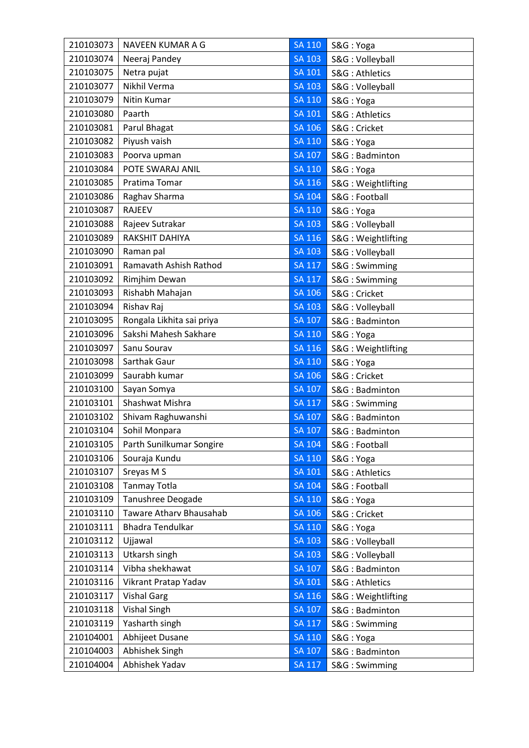| 210103073 | NAVEEN KUMAR A G          | SA 110        | S&G: Yoga          |
|-----------|---------------------------|---------------|--------------------|
| 210103074 | Neeraj Pandey             | <b>SA 103</b> | S&G: Volleyball    |
| 210103075 | Netra pujat               | <b>SA 101</b> | S&G: Athletics     |
| 210103077 | Nikhil Verma              | <b>SA 103</b> | S&G: Volleyball    |
| 210103079 | Nitin Kumar               | <b>SA 110</b> | S&G: Yoga          |
| 210103080 | Paarth                    | <b>SA 101</b> | S&G: Athletics     |
| 210103081 | Parul Bhagat              | SA 106        | S&G: Cricket       |
| 210103082 | Piyush vaish              | <b>SA 110</b> | S&G: Yoga          |
| 210103083 | Poorva upman              | <b>SA 107</b> | S&G: Badminton     |
| 210103084 | POTE SWARAJ ANIL          | <b>SA 110</b> | S&G: Yoga          |
| 210103085 | Pratima Tomar             | <b>SA 116</b> | S&G: Weightlifting |
| 210103086 | Raghav Sharma             | <b>SA 104</b> | S&G: Football      |
| 210103087 | <b>RAJEEV</b>             | <b>SA 110</b> | S&G: Yoga          |
| 210103088 | Rajeev Sutrakar           | $SA$ $103$    | S&G: Volleyball    |
| 210103089 | RAKSHIT DAHIYA            | SA 116        | S&G: Weightlifting |
| 210103090 | Raman pal                 | <b>SA 103</b> | S&G: Volleyball    |
| 210103091 | Ramavath Ashish Rathod    | <b>SA 117</b> | S&G: Swimming      |
| 210103092 | Rimjhim Dewan             | <b>SA 117</b> | S&G: Swimming      |
| 210103093 | Rishabh Mahajan           | <b>SA 106</b> | S&G: Cricket       |
| 210103094 | Rishav Raj                | <b>SA 103</b> | S&G: Volleyball    |
| 210103095 | Rongala Likhita sai priya | <b>SA 107</b> | S&G: Badminton     |
| 210103096 | Sakshi Mahesh Sakhare     | <b>SA 110</b> | S&G: Yoga          |
| 210103097 | Sanu Sourav               | <b>SA 116</b> | S&G: Weightlifting |
| 210103098 | Sarthak Gaur              | <b>SA 110</b> | S&G: Yoga          |
| 210103099 | Saurabh kumar             | SA 106        | S&G: Cricket       |
| 210103100 | Sayan Somya               | SA 107        | S&G: Badminton     |
| 210103101 | Shashwat Mishra           | <b>SA 117</b> | S&G: Swimming      |
| 210103102 | Shivam Raghuwanshi        | <b>SA 107</b> | S&G: Badminton     |
| 210103104 | Sohil Monpara             | <b>SA 107</b> | S&G: Badminton     |
| 210103105 | Parth Sunilkumar Songire  | <b>SA 104</b> | S&G: Football      |
| 210103106 | Souraja Kundu             | <b>SA 110</b> | S&G: Yoga          |
| 210103107 | Sreyas M S                | <b>SA 101</b> | S&G: Athletics     |
| 210103108 | <b>Tanmay Totla</b>       | <b>SA 104</b> | S&G: Football      |
| 210103109 | Tanushree Deogade         | <b>SA 110</b> | S&G: Yoga          |
| 210103110 | Taware Athary Bhausahab   | SA 106        | S&G: Cricket       |
| 210103111 | <b>Bhadra Tendulkar</b>   | <b>SA 110</b> | S&G: Yoga          |
| 210103112 | Ujjawal                   | <b>SA 103</b> | S&G: Volleyball    |
| 210103113 | Utkarsh singh             | <b>SA 103</b> | S&G: Volleyball    |
| 210103114 | Vibha shekhawat           | <b>SA 107</b> | S&G: Badminton     |
| 210103116 | Vikrant Pratap Yadav      | <b>SA 101</b> | S&G: Athletics     |
| 210103117 | <b>Vishal Garg</b>        | <b>SA 116</b> | S&G: Weightlifting |
| 210103118 | <b>Vishal Singh</b>       | <b>SA 107</b> | S&G: Badminton     |
| 210103119 | Yasharth singh            | <b>SA 117</b> | S&G: Swimming      |
| 210104001 | Abhijeet Dusane           | <b>SA 110</b> | S&G: Yoga          |
| 210104003 | Abhishek Singh            | SA 107        | S&G: Badminton     |
| 210104004 | Abhishek Yadav            | <b>SA 117</b> | S&G: Swimming      |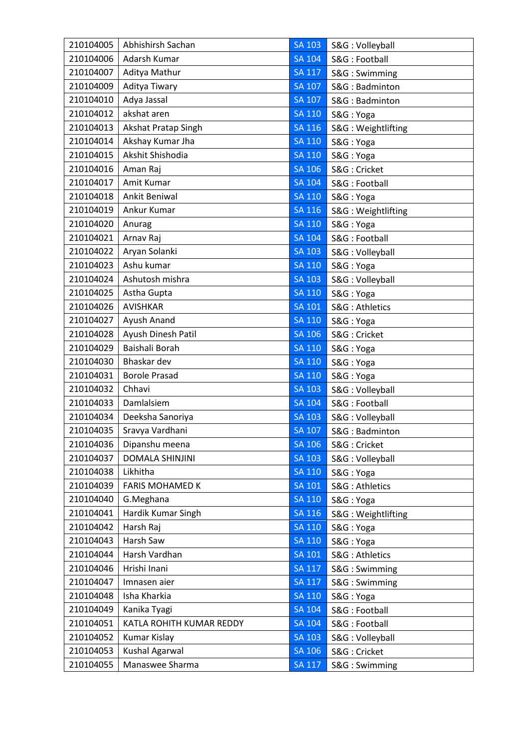| 210104005 | Abhishirsh Sachan        | <b>SA 103</b> | S&G: Volleyball    |
|-----------|--------------------------|---------------|--------------------|
| 210104006 | Adarsh Kumar             | <b>SA 104</b> | S&G: Football      |
| 210104007 | Aditya Mathur            | <b>SA 117</b> | S&G: Swimming      |
| 210104009 | Aditya Tiwary            | <b>SA 107</b> | S&G: Badminton     |
| 210104010 | Adya Jassal              | <b>SA 107</b> | S&G: Badminton     |
| 210104012 | akshat aren              | <b>SA 110</b> | S&G: Yoga          |
| 210104013 | Akshat Pratap Singh      | SA 116        | S&G: Weightlifting |
| 210104014 | Akshay Kumar Jha         | <b>SA 110</b> | S&G: Yoga          |
| 210104015 | Akshit Shishodia         | <b>SA 110</b> | S&G: Yoga          |
| 210104016 | Aman Raj                 | <b>SA 106</b> | S&G: Cricket       |
| 210104017 | Amit Kumar               | <b>SA 104</b> | S&G: Football      |
| 210104018 | Ankit Beniwal            | <b>SA 110</b> | S&G: Yoga          |
| 210104019 | Ankur Kumar              | SA 116        | S&G: Weightlifting |
| 210104020 | Anurag                   | SA 110        | S&G: Yoga          |
| 210104021 | Arnav Raj                | <b>SA 104</b> | S&G: Football      |
| 210104022 | Aryan Solanki            | <b>SA 103</b> | S&G: Volleyball    |
| 210104023 | Ashu kumar               | <b>SA 110</b> | S&G: Yoga          |
| 210104024 | Ashutosh mishra          | <b>SA 103</b> | S&G: Volleyball    |
| 210104025 | Astha Gupta              | <b>SA 110</b> | S&G: Yoga          |
| 210104026 | <b>AVISHKAR</b>          | SA 101        | S&G: Athletics     |
| 210104027 | Ayush Anand              | SA 110        | S&G: Yoga          |
| 210104028 | Ayush Dinesh Patil       | <b>SA 106</b> | S&G: Cricket       |
| 210104029 | Baishali Borah           | <b>SA 110</b> | S&G: Yoga          |
| 210104030 | Bhaskar dev              | SA 110        | S&G: Yoga          |
| 210104031 | <b>Borole Prasad</b>     | <b>SA 110</b> | S&G: Yoga          |
| 210104032 | Chhavi                   | <b>SA 103</b> | S&G: Volleyball    |
| 210104033 | Damlalsiem               | <b>SA 104</b> | S&G: Football      |
| 210104034 | Deeksha Sanoriya         | <b>SA 103</b> | S&G: Volleyball    |
| 210104035 | Sravya Vardhani          | <b>SA 107</b> | S&G: Badminton     |
| 210104036 | Dipanshu meena           | <b>SA 106</b> | S&G: Cricket       |
| 210104037 | <b>DOMALA SHINJINI</b>   | <b>SA 103</b> | S&G: Volleyball    |
| 210104038 | Likhitha                 | <b>SA 110</b> | S&G: Yoga          |
| 210104039 | <b>FARIS MOHAMED K</b>   | <b>SA 101</b> | S&G: Athletics     |
| 210104040 | G.Meghana                | <b>SA 110</b> | S&G: Yoga          |
| 210104041 | Hardik Kumar Singh       | <b>SA 116</b> | S&G: Weightlifting |
| 210104042 | Harsh Raj                | SA 110        | S&G: Yoga          |
| 210104043 | Harsh Saw                | <b>SA 110</b> | S&G: Yoga          |
| 210104044 | Harsh Vardhan            | <b>SA 101</b> | S&G: Athletics     |
| 210104046 | Hrishi Inani             | <b>SA 117</b> | S&G: Swimming      |
| 210104047 | Imnasen aier             | <b>SA 117</b> | S&G: Swimming      |
| 210104048 | Isha Kharkia             | <b>SA 110</b> | S&G: Yoga          |
| 210104049 | Kanika Tyagi             | <b>SA 104</b> | S&G: Football      |
| 210104051 | KATLA ROHITH KUMAR REDDY | SA 104        | S&G: Football      |
| 210104052 | Kumar Kislay             | <b>SA 103</b> | S&G: Volleyball    |
| 210104053 | Kushal Agarwal           | <b>SA 106</b> | S&G: Cricket       |
| 210104055 | Manaswee Sharma          | <b>SA 117</b> | S&G: Swimming      |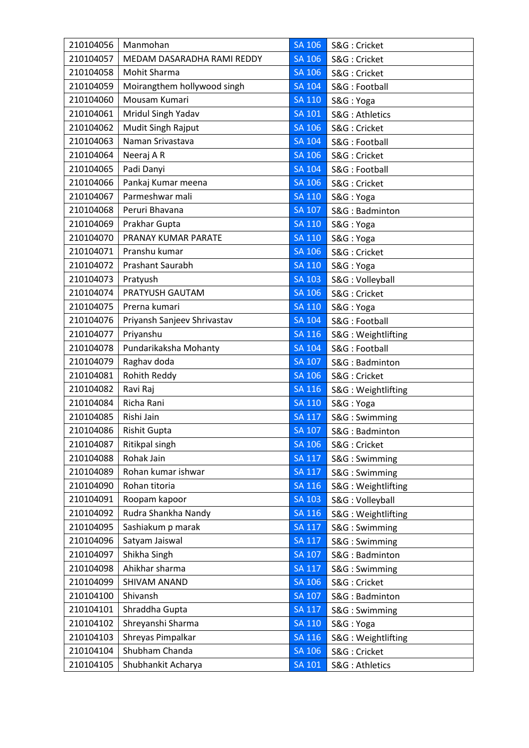| 210104057<br>MEDAM DASARADHA RAMI REDDY<br>SA 106<br>S&G: Cricket<br>210104058<br>Mohit Sharma<br>SA 106<br>S&G: Cricket<br>210104059<br>Moirangthem hollywood singh<br><b>SA 104</b><br>S&G: Football<br>Mousam Kumari<br>210104060<br><b>SA 110</b><br>S&G: Yoga<br>Mridul Singh Yadav<br>210104061<br><b>SA 101</b><br>S&G: Athletics<br>Mudit Singh Rajput<br>210104062<br>SA 106<br>S&G: Cricket<br>Naman Srivastava<br>210104063<br>SA 104<br>S&G: Football<br>210104064<br>Neeraj AR<br>SA 106<br>S&G: Cricket<br>210104065<br>Padi Danyi<br><b>SA 104</b><br>S&G: Football<br>Pankaj Kumar meena<br>210104066<br>SA 106<br>S&G: Cricket<br>210104067<br>Parmeshwar mali<br><b>SA 110</b><br>S&G: Yoga<br>Peruri Bhavana<br>210104068<br>SA 107<br>S&G: Badminton<br>210104069<br>SA 110<br>Prakhar Gupta<br>S&G: Yoga<br>PRANAY KUMAR PARATE<br>210104070<br><b>SA 110</b><br>S&G: Yoga<br>210104071<br>Pranshu kumar<br><b>SA 106</b><br>S&G: Cricket<br>210104072<br>Prashant Saurabh<br><b>SA 110</b><br>S&G: Yoga<br>210104073<br>Pratyush<br>SA 103<br>S&G: Volleyball<br>210104074<br>PRATYUSH GAUTAM<br>SA 106<br>S&G: Cricket<br>210104075<br>Prerna kumari<br><b>SA 110</b><br>S&G: Yoga<br>Priyansh Sanjeev Shrivastav<br>210104076<br><b>SA 104</b><br>S&G: Football<br>210104077<br>Priyanshu<br><b>SA 116</b><br>S&G: Weightlifting<br>Pundarikaksha Mohanty<br>210104078<br><b>SA 104</b><br>S&G: Football<br>Raghav doda<br>210104079<br><b>SA 107</b><br>S&G: Badminton<br>Rohith Reddy<br>210104081<br>SA 106<br>S&G: Cricket<br>210104082<br>Ravi Raj<br>SA 116<br>S&G: Weightlifting<br>Richa Rani<br>210104084<br><b>SA 110</b><br>S&G: Yoga<br>210104085<br>Rishi Jain<br><b>SA 117</b><br>S&G: Swimming<br>210104086<br><b>Rishit Gupta</b><br><b>SA 107</b><br>S&G: Badminton<br>210104087<br>Ritikpal singh<br><b>SA 106</b><br>S&G: Cricket<br>210104088<br>Rohak Jain<br><b>SA 117</b><br>S&G: Swimming<br>Rohan kumar ishwar<br>210104089<br>SA 117<br>S&G: Swimming<br>210104090<br>Rohan titoria<br><b>SA 116</b><br>S&G: Weightlifting<br>Roopam kapoor<br><b>SA 103</b><br>210104091<br>S&G: Volleyball |
|------------------------------------------------------------------------------------------------------------------------------------------------------------------------------------------------------------------------------------------------------------------------------------------------------------------------------------------------------------------------------------------------------------------------------------------------------------------------------------------------------------------------------------------------------------------------------------------------------------------------------------------------------------------------------------------------------------------------------------------------------------------------------------------------------------------------------------------------------------------------------------------------------------------------------------------------------------------------------------------------------------------------------------------------------------------------------------------------------------------------------------------------------------------------------------------------------------------------------------------------------------------------------------------------------------------------------------------------------------------------------------------------------------------------------------------------------------------------------------------------------------------------------------------------------------------------------------------------------------------------------------------------------------------------------------------------------------------------------------------------------------------------------------------------------------------------------------------------------------------------------------------------------------------------------------------------------------------------------------------------------------------------------------------------------------------------------------------------------------------------------------------------|
|                                                                                                                                                                                                                                                                                                                                                                                                                                                                                                                                                                                                                                                                                                                                                                                                                                                                                                                                                                                                                                                                                                                                                                                                                                                                                                                                                                                                                                                                                                                                                                                                                                                                                                                                                                                                                                                                                                                                                                                                                                                                                                                                                |
|                                                                                                                                                                                                                                                                                                                                                                                                                                                                                                                                                                                                                                                                                                                                                                                                                                                                                                                                                                                                                                                                                                                                                                                                                                                                                                                                                                                                                                                                                                                                                                                                                                                                                                                                                                                                                                                                                                                                                                                                                                                                                                                                                |
|                                                                                                                                                                                                                                                                                                                                                                                                                                                                                                                                                                                                                                                                                                                                                                                                                                                                                                                                                                                                                                                                                                                                                                                                                                                                                                                                                                                                                                                                                                                                                                                                                                                                                                                                                                                                                                                                                                                                                                                                                                                                                                                                                |
|                                                                                                                                                                                                                                                                                                                                                                                                                                                                                                                                                                                                                                                                                                                                                                                                                                                                                                                                                                                                                                                                                                                                                                                                                                                                                                                                                                                                                                                                                                                                                                                                                                                                                                                                                                                                                                                                                                                                                                                                                                                                                                                                                |
|                                                                                                                                                                                                                                                                                                                                                                                                                                                                                                                                                                                                                                                                                                                                                                                                                                                                                                                                                                                                                                                                                                                                                                                                                                                                                                                                                                                                                                                                                                                                                                                                                                                                                                                                                                                                                                                                                                                                                                                                                                                                                                                                                |
|                                                                                                                                                                                                                                                                                                                                                                                                                                                                                                                                                                                                                                                                                                                                                                                                                                                                                                                                                                                                                                                                                                                                                                                                                                                                                                                                                                                                                                                                                                                                                                                                                                                                                                                                                                                                                                                                                                                                                                                                                                                                                                                                                |
|                                                                                                                                                                                                                                                                                                                                                                                                                                                                                                                                                                                                                                                                                                                                                                                                                                                                                                                                                                                                                                                                                                                                                                                                                                                                                                                                                                                                                                                                                                                                                                                                                                                                                                                                                                                                                                                                                                                                                                                                                                                                                                                                                |
|                                                                                                                                                                                                                                                                                                                                                                                                                                                                                                                                                                                                                                                                                                                                                                                                                                                                                                                                                                                                                                                                                                                                                                                                                                                                                                                                                                                                                                                                                                                                                                                                                                                                                                                                                                                                                                                                                                                                                                                                                                                                                                                                                |
|                                                                                                                                                                                                                                                                                                                                                                                                                                                                                                                                                                                                                                                                                                                                                                                                                                                                                                                                                                                                                                                                                                                                                                                                                                                                                                                                                                                                                                                                                                                                                                                                                                                                                                                                                                                                                                                                                                                                                                                                                                                                                                                                                |
|                                                                                                                                                                                                                                                                                                                                                                                                                                                                                                                                                                                                                                                                                                                                                                                                                                                                                                                                                                                                                                                                                                                                                                                                                                                                                                                                                                                                                                                                                                                                                                                                                                                                                                                                                                                                                                                                                                                                                                                                                                                                                                                                                |
|                                                                                                                                                                                                                                                                                                                                                                                                                                                                                                                                                                                                                                                                                                                                                                                                                                                                                                                                                                                                                                                                                                                                                                                                                                                                                                                                                                                                                                                                                                                                                                                                                                                                                                                                                                                                                                                                                                                                                                                                                                                                                                                                                |
|                                                                                                                                                                                                                                                                                                                                                                                                                                                                                                                                                                                                                                                                                                                                                                                                                                                                                                                                                                                                                                                                                                                                                                                                                                                                                                                                                                                                                                                                                                                                                                                                                                                                                                                                                                                                                                                                                                                                                                                                                                                                                                                                                |
|                                                                                                                                                                                                                                                                                                                                                                                                                                                                                                                                                                                                                                                                                                                                                                                                                                                                                                                                                                                                                                                                                                                                                                                                                                                                                                                                                                                                                                                                                                                                                                                                                                                                                                                                                                                                                                                                                                                                                                                                                                                                                                                                                |
|                                                                                                                                                                                                                                                                                                                                                                                                                                                                                                                                                                                                                                                                                                                                                                                                                                                                                                                                                                                                                                                                                                                                                                                                                                                                                                                                                                                                                                                                                                                                                                                                                                                                                                                                                                                                                                                                                                                                                                                                                                                                                                                                                |
|                                                                                                                                                                                                                                                                                                                                                                                                                                                                                                                                                                                                                                                                                                                                                                                                                                                                                                                                                                                                                                                                                                                                                                                                                                                                                                                                                                                                                                                                                                                                                                                                                                                                                                                                                                                                                                                                                                                                                                                                                                                                                                                                                |
|                                                                                                                                                                                                                                                                                                                                                                                                                                                                                                                                                                                                                                                                                                                                                                                                                                                                                                                                                                                                                                                                                                                                                                                                                                                                                                                                                                                                                                                                                                                                                                                                                                                                                                                                                                                                                                                                                                                                                                                                                                                                                                                                                |
|                                                                                                                                                                                                                                                                                                                                                                                                                                                                                                                                                                                                                                                                                                                                                                                                                                                                                                                                                                                                                                                                                                                                                                                                                                                                                                                                                                                                                                                                                                                                                                                                                                                                                                                                                                                                                                                                                                                                                                                                                                                                                                                                                |
|                                                                                                                                                                                                                                                                                                                                                                                                                                                                                                                                                                                                                                                                                                                                                                                                                                                                                                                                                                                                                                                                                                                                                                                                                                                                                                                                                                                                                                                                                                                                                                                                                                                                                                                                                                                                                                                                                                                                                                                                                                                                                                                                                |
|                                                                                                                                                                                                                                                                                                                                                                                                                                                                                                                                                                                                                                                                                                                                                                                                                                                                                                                                                                                                                                                                                                                                                                                                                                                                                                                                                                                                                                                                                                                                                                                                                                                                                                                                                                                                                                                                                                                                                                                                                                                                                                                                                |
|                                                                                                                                                                                                                                                                                                                                                                                                                                                                                                                                                                                                                                                                                                                                                                                                                                                                                                                                                                                                                                                                                                                                                                                                                                                                                                                                                                                                                                                                                                                                                                                                                                                                                                                                                                                                                                                                                                                                                                                                                                                                                                                                                |
|                                                                                                                                                                                                                                                                                                                                                                                                                                                                                                                                                                                                                                                                                                                                                                                                                                                                                                                                                                                                                                                                                                                                                                                                                                                                                                                                                                                                                                                                                                                                                                                                                                                                                                                                                                                                                                                                                                                                                                                                                                                                                                                                                |
|                                                                                                                                                                                                                                                                                                                                                                                                                                                                                                                                                                                                                                                                                                                                                                                                                                                                                                                                                                                                                                                                                                                                                                                                                                                                                                                                                                                                                                                                                                                                                                                                                                                                                                                                                                                                                                                                                                                                                                                                                                                                                                                                                |
|                                                                                                                                                                                                                                                                                                                                                                                                                                                                                                                                                                                                                                                                                                                                                                                                                                                                                                                                                                                                                                                                                                                                                                                                                                                                                                                                                                                                                                                                                                                                                                                                                                                                                                                                                                                                                                                                                                                                                                                                                                                                                                                                                |
|                                                                                                                                                                                                                                                                                                                                                                                                                                                                                                                                                                                                                                                                                                                                                                                                                                                                                                                                                                                                                                                                                                                                                                                                                                                                                                                                                                                                                                                                                                                                                                                                                                                                                                                                                                                                                                                                                                                                                                                                                                                                                                                                                |
|                                                                                                                                                                                                                                                                                                                                                                                                                                                                                                                                                                                                                                                                                                                                                                                                                                                                                                                                                                                                                                                                                                                                                                                                                                                                                                                                                                                                                                                                                                                                                                                                                                                                                                                                                                                                                                                                                                                                                                                                                                                                                                                                                |
|                                                                                                                                                                                                                                                                                                                                                                                                                                                                                                                                                                                                                                                                                                                                                                                                                                                                                                                                                                                                                                                                                                                                                                                                                                                                                                                                                                                                                                                                                                                                                                                                                                                                                                                                                                                                                                                                                                                                                                                                                                                                                                                                                |
|                                                                                                                                                                                                                                                                                                                                                                                                                                                                                                                                                                                                                                                                                                                                                                                                                                                                                                                                                                                                                                                                                                                                                                                                                                                                                                                                                                                                                                                                                                                                                                                                                                                                                                                                                                                                                                                                                                                                                                                                                                                                                                                                                |
|                                                                                                                                                                                                                                                                                                                                                                                                                                                                                                                                                                                                                                                                                                                                                                                                                                                                                                                                                                                                                                                                                                                                                                                                                                                                                                                                                                                                                                                                                                                                                                                                                                                                                                                                                                                                                                                                                                                                                                                                                                                                                                                                                |
|                                                                                                                                                                                                                                                                                                                                                                                                                                                                                                                                                                                                                                                                                                                                                                                                                                                                                                                                                                                                                                                                                                                                                                                                                                                                                                                                                                                                                                                                                                                                                                                                                                                                                                                                                                                                                                                                                                                                                                                                                                                                                                                                                |
|                                                                                                                                                                                                                                                                                                                                                                                                                                                                                                                                                                                                                                                                                                                                                                                                                                                                                                                                                                                                                                                                                                                                                                                                                                                                                                                                                                                                                                                                                                                                                                                                                                                                                                                                                                                                                                                                                                                                                                                                                                                                                                                                                |
|                                                                                                                                                                                                                                                                                                                                                                                                                                                                                                                                                                                                                                                                                                                                                                                                                                                                                                                                                                                                                                                                                                                                                                                                                                                                                                                                                                                                                                                                                                                                                                                                                                                                                                                                                                                                                                                                                                                                                                                                                                                                                                                                                |
|                                                                                                                                                                                                                                                                                                                                                                                                                                                                                                                                                                                                                                                                                                                                                                                                                                                                                                                                                                                                                                                                                                                                                                                                                                                                                                                                                                                                                                                                                                                                                                                                                                                                                                                                                                                                                                                                                                                                                                                                                                                                                                                                                |
|                                                                                                                                                                                                                                                                                                                                                                                                                                                                                                                                                                                                                                                                                                                                                                                                                                                                                                                                                                                                                                                                                                                                                                                                                                                                                                                                                                                                                                                                                                                                                                                                                                                                                                                                                                                                                                                                                                                                                                                                                                                                                                                                                |
| Rudra Shankha Nandy<br><b>SA 116</b><br>210104092<br>S&G: Weightlifting                                                                                                                                                                                                                                                                                                                                                                                                                                                                                                                                                                                                                                                                                                                                                                                                                                                                                                                                                                                                                                                                                                                                                                                                                                                                                                                                                                                                                                                                                                                                                                                                                                                                                                                                                                                                                                                                                                                                                                                                                                                                        |
| 210104095<br>Sashiakum p marak<br><b>SA 117</b><br>S&G: Swimming                                                                                                                                                                                                                                                                                                                                                                                                                                                                                                                                                                                                                                                                                                                                                                                                                                                                                                                                                                                                                                                                                                                                                                                                                                                                                                                                                                                                                                                                                                                                                                                                                                                                                                                                                                                                                                                                                                                                                                                                                                                                               |
| Satyam Jaiswal<br><b>SA 117</b><br>210104096<br>S&G: Swimming                                                                                                                                                                                                                                                                                                                                                                                                                                                                                                                                                                                                                                                                                                                                                                                                                                                                                                                                                                                                                                                                                                                                                                                                                                                                                                                                                                                                                                                                                                                                                                                                                                                                                                                                                                                                                                                                                                                                                                                                                                                                                  |
| 210104097<br>Shikha Singh<br><b>SA 107</b><br>S&G: Badminton                                                                                                                                                                                                                                                                                                                                                                                                                                                                                                                                                                                                                                                                                                                                                                                                                                                                                                                                                                                                                                                                                                                                                                                                                                                                                                                                                                                                                                                                                                                                                                                                                                                                                                                                                                                                                                                                                                                                                                                                                                                                                   |
| Ahikhar sharma<br>210104098<br><b>SA 117</b><br>S&G: Swimming                                                                                                                                                                                                                                                                                                                                                                                                                                                                                                                                                                                                                                                                                                                                                                                                                                                                                                                                                                                                                                                                                                                                                                                                                                                                                                                                                                                                                                                                                                                                                                                                                                                                                                                                                                                                                                                                                                                                                                                                                                                                                  |
| 210104099<br><b>SA 106</b><br>SHIVAM ANAND<br>S&G: Cricket                                                                                                                                                                                                                                                                                                                                                                                                                                                                                                                                                                                                                                                                                                                                                                                                                                                                                                                                                                                                                                                                                                                                                                                                                                                                                                                                                                                                                                                                                                                                                                                                                                                                                                                                                                                                                                                                                                                                                                                                                                                                                     |
| 210104100<br>Shivansh<br><b>SA 107</b><br>S&G: Badminton                                                                                                                                                                                                                                                                                                                                                                                                                                                                                                                                                                                                                                                                                                                                                                                                                                                                                                                                                                                                                                                                                                                                                                                                                                                                                                                                                                                                                                                                                                                                                                                                                                                                                                                                                                                                                                                                                                                                                                                                                                                                                       |
| Shraddha Gupta<br>210104101<br>SA 117<br>S&G: Swimming                                                                                                                                                                                                                                                                                                                                                                                                                                                                                                                                                                                                                                                                                                                                                                                                                                                                                                                                                                                                                                                                                                                                                                                                                                                                                                                                                                                                                                                                                                                                                                                                                                                                                                                                                                                                                                                                                                                                                                                                                                                                                         |
| Shreyanshi Sharma<br>210104102<br>SA 110<br>S&G: Yoga                                                                                                                                                                                                                                                                                                                                                                                                                                                                                                                                                                                                                                                                                                                                                                                                                                                                                                                                                                                                                                                                                                                                                                                                                                                                                                                                                                                                                                                                                                                                                                                                                                                                                                                                                                                                                                                                                                                                                                                                                                                                                          |
| Shreyas Pimpalkar<br>SA 116<br>210104103<br>S&G: Weightlifting                                                                                                                                                                                                                                                                                                                                                                                                                                                                                                                                                                                                                                                                                                                                                                                                                                                                                                                                                                                                                                                                                                                                                                                                                                                                                                                                                                                                                                                                                                                                                                                                                                                                                                                                                                                                                                                                                                                                                                                                                                                                                 |
| Shubham Chanda<br>210104104<br><b>SA 106</b><br>S&G: Cricket                                                                                                                                                                                                                                                                                                                                                                                                                                                                                                                                                                                                                                                                                                                                                                                                                                                                                                                                                                                                                                                                                                                                                                                                                                                                                                                                                                                                                                                                                                                                                                                                                                                                                                                                                                                                                                                                                                                                                                                                                                                                                   |
| 210104105<br>Shubhankit Acharya<br><b>SA 101</b><br>S&G: Athletics                                                                                                                                                                                                                                                                                                                                                                                                                                                                                                                                                                                                                                                                                                                                                                                                                                                                                                                                                                                                                                                                                                                                                                                                                                                                                                                                                                                                                                                                                                                                                                                                                                                                                                                                                                                                                                                                                                                                                                                                                                                                             |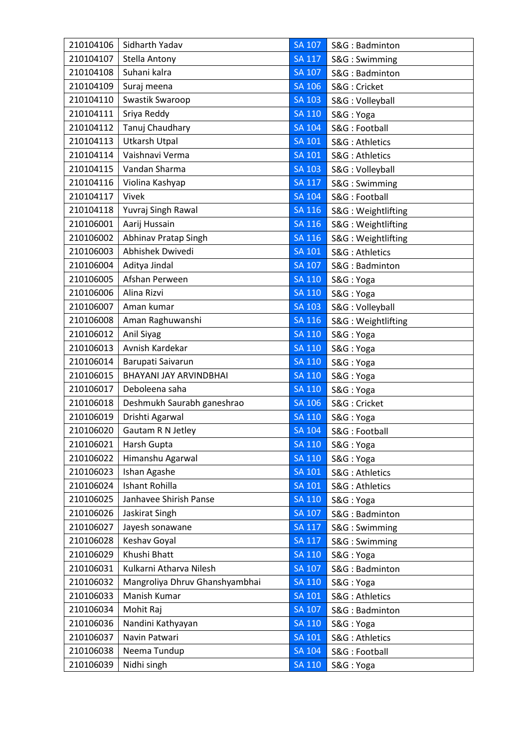| 210104106 | Sidharth Yadav                 | <b>SA 107</b> | S&G: Badminton     |
|-----------|--------------------------------|---------------|--------------------|
| 210104107 | Stella Antony                  | <b>SA 117</b> | S&G: Swimming      |
| 210104108 | Suhani kalra                   | <b>SA 107</b> | S&G: Badminton     |
| 210104109 | Suraj meena                    | <b>SA 106</b> | S&G: Cricket       |
| 210104110 | Swastik Swaroop                | <b>SA 103</b> | S&G: Volleyball    |
| 210104111 | Sriya Reddy                    | SA 110        | S&G: Yoga          |
| 210104112 | Tanuj Chaudhary                | <b>SA 104</b> | S&G: Football      |
| 210104113 | <b>Utkarsh Utpal</b>           | SA 101        | S&G: Athletics     |
| 210104114 | Vaishnavi Verma                | SA 101        | S&G: Athletics     |
| 210104115 | Vandan Sharma                  | <b>SA 103</b> | S&G: Volleyball    |
| 210104116 | Violina Kashyap                | <b>SA 117</b> | S&G: Swimming      |
| 210104117 | Vivek                          | <b>SA 104</b> | S&G: Football      |
| 210104118 | Yuvraj Singh Rawal             | <b>SA 116</b> | S&G: Weightlifting |
| 210106001 | Aarij Hussain                  | SA 116        | S&G: Weightlifting |
| 210106002 | Abhinav Pratap Singh           | <b>SA 116</b> | S&G: Weightlifting |
| 210106003 | <b>Abhishek Dwivedi</b>        | <b>SA 101</b> | S&G: Athletics     |
| 210106004 | Aditya Jindal                  | <b>SA 107</b> | S&G: Badminton     |
| 210106005 | Afshan Perween                 | SA 110        | S&G: Yoga          |
| 210106006 | Alina Rizvi                    | SA 110        | S&G: Yoga          |
| 210106007 | Aman kumar                     | <b>SA 103</b> | S&G: Volleyball    |
| 210106008 | Aman Raghuwanshi               | SA 116        | S&G: Weightlifting |
| 210106012 | Anil Siyag                     | <b>SA 110</b> | S&G: Yoga          |
| 210106013 | Avnish Kardekar                | <b>SA 110</b> | S&G: Yoga          |
| 210106014 | Barupati Saivarun              | <b>SA 110</b> | S&G: Yoga          |
| 210106015 | BHAYANI JAY ARVINDBHAI         | SA 110        | S&G: Yoga          |
| 210106017 | Deboleena saha                 | SA 110        | S&G: Yoga          |
| 210106018 | Deshmukh Saurabh ganeshrao     | SA 106        | S&G: Cricket       |
| 210106019 | Drishti Agarwal                | <b>SA 110</b> | S&G: Yoga          |
| 210106020 | Gautam R N Jetley              | <b>SA 104</b> | S&G: Football      |
| 210106021 | Harsh Gupta                    | <b>SA 110</b> | S&G: Yoga          |
| 210106022 | Himanshu Agarwal               | <b>SA 110</b> | S&G: Yoga          |
| 210106023 | Ishan Agashe                   | <b>SA 101</b> | S&G: Athletics     |
| 210106024 | Ishant Rohilla                 | <b>SA 101</b> | S&G: Athletics     |
| 210106025 | Janhavee Shirish Panse         | <b>SA 110</b> | S&G: Yoga          |
| 210106026 | Jaskirat Singh                 | <b>SA 107</b> | S&G: Badminton     |
| 210106027 | Jayesh sonawane                | <b>SA 117</b> | S&G: Swimming      |
| 210106028 | Keshav Goyal                   | <b>SA 117</b> | S&G: Swimming      |
| 210106029 | Khushi Bhatt                   | <b>SA 110</b> | S&G: Yoga          |
| 210106031 | Kulkarni Atharva Nilesh        | <b>SA 107</b> | S&G: Badminton     |
| 210106032 | Mangroliya Dhruv Ghanshyambhai | <b>SA 110</b> | S&G: Yoga          |
| 210106033 | Manish Kumar                   | <b>SA 101</b> | S&G: Athletics     |
| 210106034 | Mohit Raj                      | <b>SA 107</b> | S&G: Badminton     |
| 210106036 | Nandini Kathyayan              | <b>SA 110</b> | S&G: Yoga          |
| 210106037 | Navin Patwari                  | <b>SA 101</b> | S&G: Athletics     |
| 210106038 | Neema Tundup                   | <b>SA 104</b> | S&G: Football      |
| 210106039 | Nidhi singh                    | <b>SA 110</b> | S&G: Yoga          |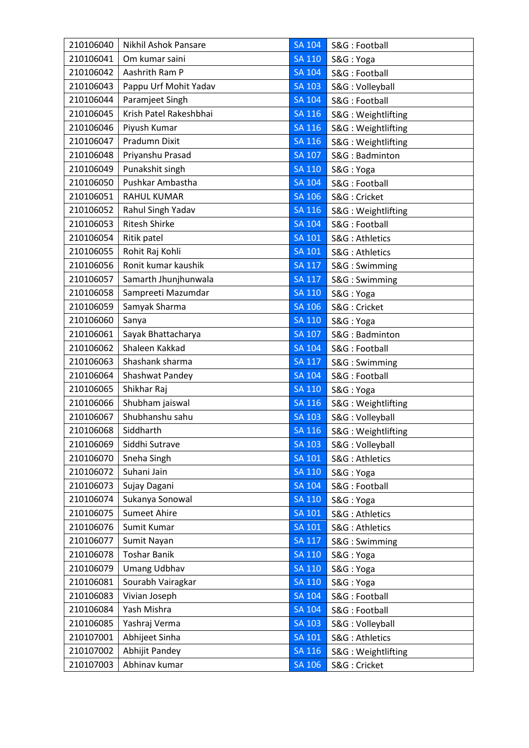| 210106040 | Nikhil Ashok Pansare   | <b>SA 104</b> | S&G: Football      |
|-----------|------------------------|---------------|--------------------|
| 210106041 | Om kumar saini         | <b>SA 110</b> | S&G: Yoga          |
| 210106042 | Aashrith Ram P         | <b>SA 104</b> | S&G: Football      |
| 210106043 | Pappu Urf Mohit Yadav  | <b>SA 103</b> | S&G: Volleyball    |
| 210106044 | Paramjeet Singh        | <b>SA 104</b> | S&G: Football      |
| 210106045 | Krish Patel Rakeshbhai | <b>SA 116</b> | S&G: Weightlifting |
| 210106046 | Piyush Kumar           | SA 116        | S&G: Weightlifting |
| 210106047 | <b>Pradumn Dixit</b>   | <b>SA 116</b> | S&G: Weightlifting |
| 210106048 | Priyanshu Prasad       | SA 107        | S&G: Badminton     |
| 210106049 | Punakshit singh        | <b>SA 110</b> | S&G: Yoga          |
| 210106050 | Pushkar Ambastha       | <b>SA 104</b> | S&G: Football      |
| 210106051 | <b>RAHUL KUMAR</b>     | <b>SA 106</b> | S&G: Cricket       |
| 210106052 | Rahul Singh Yadav      | SA 116        | S&G: Weightlifting |
| 210106053 | <b>Ritesh Shirke</b>   | <b>SA 104</b> | S&G: Football      |
| 210106054 | Ritik patel            | <b>SA 101</b> | S&G: Athletics     |
| 210106055 | Rohit Raj Kohli        | <b>SA 101</b> | S&G: Athletics     |
| 210106056 | Ronit kumar kaushik    | <b>SA 117</b> | S&G: Swimming      |
| 210106057 | Samarth Jhunjhunwala   | <b>SA 117</b> | S&G: Swimming      |
| 210106058 | Sampreeti Mazumdar     | <b>SA 110</b> | S&G: Yoga          |
| 210106059 | Samyak Sharma          | <b>SA 106</b> | S&G: Cricket       |
| 210106060 | Sanya                  | <b>SA 110</b> | S&G: Yoga          |
| 210106061 | Sayak Bhattacharya     | <b>SA 107</b> | S&G: Badminton     |
| 210106062 | Shaleen Kakkad         | <b>SA 104</b> | S&G: Football      |
| 210106063 | Shashank sharma        | <b>SA 117</b> | S&G: Swimming      |
| 210106064 | Shashwat Pandey        | SA 104        | S&G: Football      |
| 210106065 | Shikhar Raj            | <b>SA 110</b> | S&G: Yoga          |
| 210106066 | Shubham jaiswal        | <b>SA 116</b> | S&G: Weightlifting |
| 210106067 | Shubhanshu sahu        | <b>SA 103</b> | S&G: Volleyball    |
| 210106068 | Siddharth              | <b>SA 116</b> | S&G: Weightlifting |
| 210106069 | Siddhi Sutrave         | SA 103        | S&G: Volleyball    |
| 210106070 | Sneha Singh            | SA 101        | S&G: Athletics     |
| 210106072 | Suhani Jain            | <b>SA 110</b> | S&G: Yoga          |
| 210106073 | Sujay Dagani           | <b>SA 104</b> | S&G: Football      |
| 210106074 | Sukanya Sonowal        | <b>SA 110</b> | S&G: Yoga          |
| 210106075 | <b>Sumeet Ahire</b>    | <b>SA 101</b> | S&G: Athletics     |
| 210106076 | Sumit Kumar            | SA 101        | S&G: Athletics     |
| 210106077 | Sumit Nayan            | $SA$ $117$    | S&G: Swimming      |
| 210106078 | <b>Toshar Banik</b>    | <b>SA 110</b> | S&G: Yoga          |
| 210106079 | <b>Umang Udbhav</b>    | <b>SA 110</b> | S&G: Yoga          |
| 210106081 | Sourabh Vairagkar      | <b>SA 110</b> | S&G: Yoga          |
| 210106083 | Vivian Joseph          | <b>SA 104</b> | S&G: Football      |
| 210106084 | Yash Mishra            | <b>SA 104</b> | S&G: Football      |
| 210106085 | Yashraj Verma          | SA 103        | S&G: Volleyball    |
| 210107001 | Abhijeet Sinha         | <b>SA 101</b> | S&G: Athletics     |
| 210107002 | Abhijit Pandey         | <b>SA 116</b> | S&G: Weightlifting |
| 210107003 | Abhinav kumar          | SA 106        | S&G: Cricket       |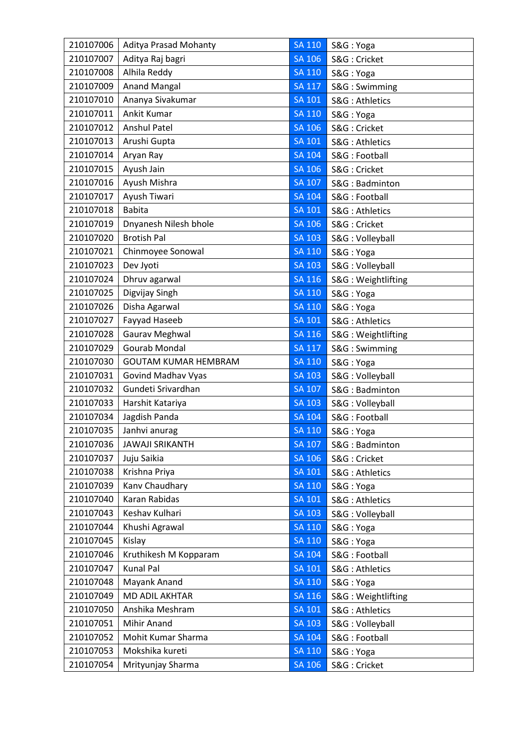| 210107006 | <b>Aditya Prasad Mohanty</b> | <b>SA 110</b> | S&G: Yoga          |
|-----------|------------------------------|---------------|--------------------|
| 210107007 | Aditya Raj bagri             | <b>SA 106</b> | S&G: Cricket       |
| 210107008 | Alhila Reddy                 | <b>SA 110</b> | S&G: Yoga          |
| 210107009 | <b>Anand Mangal</b>          | <b>SA 117</b> | S&G: Swimming      |
| 210107010 | Ananya Sivakumar             | <b>SA 101</b> | S&G: Athletics     |
| 210107011 | Ankit Kumar                  | <b>SA 110</b> | S&G: Yoga          |
| 210107012 | <b>Anshul Patel</b>          | <b>SA 106</b> | S&G: Cricket       |
| 210107013 | Arushi Gupta                 | <b>SA 101</b> | S&G: Athletics     |
| 210107014 | Aryan Ray                    | <b>SA 104</b> | S&G: Football      |
| 210107015 | Ayush Jain                   | <b>SA 106</b> | S&G: Cricket       |
| 210107016 | Ayush Mishra                 | SA 107        | S&G: Badminton     |
| 210107017 | Ayush Tiwari                 | <b>SA 104</b> | S&G: Football      |
| 210107018 | <b>Babita</b>                | <b>SA 101</b> | S&G: Athletics     |
| 210107019 | Dnyanesh Nilesh bhole        | SA 106        | S&G: Cricket       |
| 210107020 | <b>Brotish Pal</b>           | $SA$ $103$    | S&G: Volleyball    |
| 210107021 | Chinmoyee Sonowal            | <b>SA 110</b> | S&G: Yoga          |
| 210107023 | Dev Jyoti                    | <b>SA 103</b> | S&G: Volleyball    |
| 210107024 | Dhruv agarwal                | SA 116        | S&G: Weightlifting |
| 210107025 | Digvijay Singh               | <b>SA 110</b> | S&G: Yoga          |
| 210107026 | Disha Agarwal                | <b>SA 110</b> | S&G: Yoga          |
| 210107027 | Fayyad Haseeb                | <b>SA 101</b> | S&G: Athletics     |
| 210107028 | Gaurav Meghwal               | <b>SA 116</b> | S&G: Weightlifting |
| 210107029 | Gourab Mondal                | <b>SA 117</b> | S&G: Swimming      |
| 210107030 | <b>GOUTAM KUMAR HEMBRAM</b>  | <b>SA 110</b> | S&G: Yoga          |
| 210107031 | Govind Madhav Vyas           | <b>SA 103</b> | S&G: Volleyball    |
| 210107032 | Gundeti Srivardhan           | <b>SA 107</b> | S&G: Badminton     |
| 210107033 | Harshit Katariya             | <b>SA 103</b> | S&G: Volleyball    |
| 210107034 | Jagdish Panda                | <b>SA 104</b> | S&G: Football      |
| 210107035 | Janhvi anurag                | <b>SA 110</b> | S&G: Yoga          |
| 210107036 | <b>JAWAJI SRIKANTH</b>       | SA 107        | S&G: Badminton     |
| 210107037 | Juju Saikia                  | SA 106        | S&G: Cricket       |
| 210107038 | Krishna Priya                | <b>SA 101</b> | S&G: Athletics     |
| 210107039 | Kanv Chaudhary               | <b>SA 110</b> | S&G: Yoga          |
| 210107040 | Karan Rabidas                | <b>SA 101</b> | S&G: Athletics     |
| 210107043 | Keshav Kulhari               | <b>SA 103</b> | S&G: Volleyball    |
| 210107044 | Khushi Agrawal               | <b>SA 110</b> | S&G: Yoga          |
| 210107045 | Kislay                       | <b>SA 110</b> | S&G: Yoga          |
| 210107046 | Kruthikesh M Kopparam        | <b>SA 104</b> | S&G: Football      |
| 210107047 | Kunal Pal                    | <b>SA 101</b> | S&G: Athletics     |
| 210107048 | Mayank Anand                 | <b>SA 110</b> | S&G: Yoga          |
| 210107049 | <b>MD ADIL AKHTAR</b>        | <b>SA 116</b> | S&G: Weightlifting |
| 210107050 | Anshika Meshram              | <b>SA 101</b> | S&G: Athletics     |
| 210107051 | Mihir Anand                  | <b>SA 103</b> | S&G: Volleyball    |
| 210107052 | Mohit Kumar Sharma           | <b>SA 104</b> | S&G: Football      |
| 210107053 | Mokshika kureti              | <b>SA 110</b> | S&G: Yoga          |
| 210107054 | Mrityunjay Sharma            | <b>SA 106</b> | S&G: Cricket       |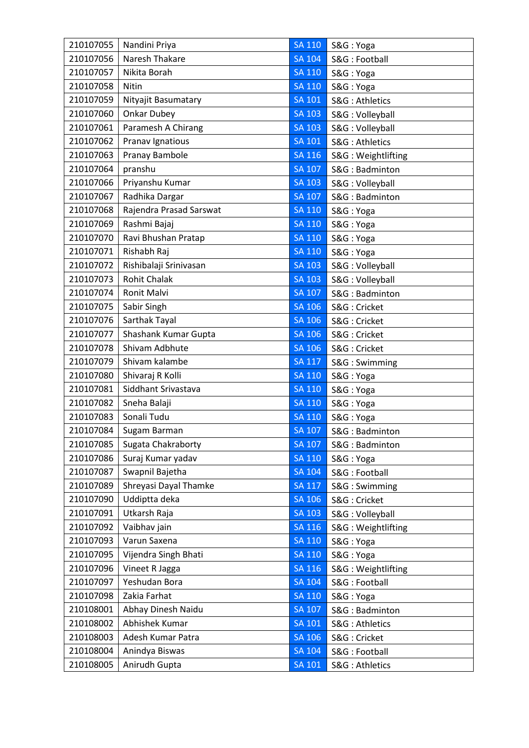| Naresh Thakare<br>210107056<br><b>SA 104</b><br>S&G: Football<br>210107057<br>Nikita Borah<br><b>SA 110</b><br>S&G: Yoga<br>210107058<br>Nitin<br><b>SA 110</b><br>S&G: Yoga<br>210107059<br>Nityajit Basumatary<br><b>SA 101</b><br>S&G: Athletics<br>Onkar Dubey<br>210107060<br><b>SA 103</b><br>S&G: Volleyball<br>Paramesh A Chirang<br><b>SA 103</b><br>210107061<br>S&G: Volleyball<br>Pranav Ignatious<br><b>SA 101</b><br>210107062<br>S&G: Athletics<br>Pranay Bambole<br>210107063<br>SA 116<br>S&G: Weightlifting<br>pranshu<br>210107064<br><b>SA 107</b><br>S&G: Badminton<br>210107066<br>Priyanshu Kumar<br><b>SA 103</b><br>S&G: Volleyball<br>Radhika Dargar<br>210107067<br><b>SA 107</b><br>S&G: Badminton<br>Rajendra Prasad Sarswat<br>210107068<br><b>SA 110</b><br>S&G: Yoga<br>210107069<br>Rashmi Bajaj<br>SA 110<br>S&G: Yoga<br>210107070<br>Ravi Bhushan Pratap<br>SA 110<br>S&G: Yoga<br>Rishabh Raj<br>210107071<br><b>SA 110</b><br>S&G: Yoga<br>210107072<br>Rishibalaji Srinivasan<br><b>SA 103</b><br>S&G: Volleyball<br><b>Rohit Chalak</b><br>210107073<br><b>SA 103</b><br>S&G: Volleyball<br>210107074<br>Ronit Malvi<br><b>SA 107</b><br>S&G: Badminton<br>210107075<br>Sabir Singh<br>SA 106<br>S&G: Cricket<br>Sarthak Tayal<br><b>SA 106</b><br>210107076<br>S&G: Cricket<br>Shashank Kumar Gupta<br>210107077<br><b>SA 106</b><br>S&G: Cricket<br>Shivam Adbhute<br>210107078<br><b>SA 106</b><br>S&G: Cricket<br>Shivam kalambe<br>210107079<br><b>SA 117</b><br>S&G: Swimming<br>Shivaraj R Kolli<br>210107080<br><b>SA 110</b><br>S&G: Yoga<br>Siddhant Srivastava<br>210107081<br><b>SA 110</b><br>S&G: Yoga<br>210107082<br>Sneha Balaji<br>SA 110<br>S&G: Yoga<br>Sonali Tudu<br>210107083<br><b>SA 110</b><br>S&G: Yoga<br>210107084<br>Sugam Barman<br><b>SA 107</b><br>S&G: Badminton<br><b>SA 107</b><br>210107085<br>Sugata Chakraborty<br>S&G: Badminton<br>210107086<br>Suraj Kumar yadav<br><b>SA 110</b><br>S&G: Yoga<br>Swapnil Bajetha<br>210107087<br><b>SA 104</b><br>S&G: Football<br>210107089<br>Shreyasi Dayal Thamke<br><b>SA 117</b><br>S&G: Swimming<br>Uddiptta deka<br>210107090<br><b>SA 106</b><br>S&G: Cricket<br>210107091<br>Utkarsh Raja<br><b>SA 103</b><br>S&G: Volleyball<br><b>SA 116</b><br>210107092<br>Vaibhav jain<br>S&G: Weightlifting<br>Varun Saxena<br>210107093<br>SA 110<br>S&G: Yoga<br>Vijendra Singh Bhati<br><b>SA 110</b><br>210107095<br>S&G: Yoga<br>210107096<br>Vineet R Jagga<br><b>SA 116</b><br>S&G: Weightlifting<br>210107097<br>Yeshudan Bora<br><b>SA 104</b><br>S&G: Football<br>210107098<br>Zakia Farhat<br><b>SA 110</b><br>S&G: Yoga<br>Abhay Dinesh Naidu<br><b>SA 107</b><br>210108001<br>S&G: Badminton<br>210108002<br>Abhishek Kumar<br>SA 101<br>S&G: Athletics<br>210108003<br>Adesh Kumar Patra<br><b>SA 106</b><br>S&G: Cricket<br>210108004<br>Anindya Biswas<br><b>SA 104</b><br>S&G: Football<br>210108005<br>Anirudh Gupta<br><b>SA 101</b><br>S&G: Athletics | 210107055 | Nandini Priya | <b>SA 110</b> | S&G: Yoga |
|----------------------------------------------------------------------------------------------------------------------------------------------------------------------------------------------------------------------------------------------------------------------------------------------------------------------------------------------------------------------------------------------------------------------------------------------------------------------------------------------------------------------------------------------------------------------------------------------------------------------------------------------------------------------------------------------------------------------------------------------------------------------------------------------------------------------------------------------------------------------------------------------------------------------------------------------------------------------------------------------------------------------------------------------------------------------------------------------------------------------------------------------------------------------------------------------------------------------------------------------------------------------------------------------------------------------------------------------------------------------------------------------------------------------------------------------------------------------------------------------------------------------------------------------------------------------------------------------------------------------------------------------------------------------------------------------------------------------------------------------------------------------------------------------------------------------------------------------------------------------------------------------------------------------------------------------------------------------------------------------------------------------------------------------------------------------------------------------------------------------------------------------------------------------------------------------------------------------------------------------------------------------------------------------------------------------------------------------------------------------------------------------------------------------------------------------------------------------------------------------------------------------------------------------------------------------------------------------------------------------------------------------------------------------------------------------------------------------------------------------------------------------------------------------------------------------------------------------------------------------------------------------------------------------------------------------------------------------------------------------|-----------|---------------|---------------|-----------|
|                                                                                                                                                                                                                                                                                                                                                                                                                                                                                                                                                                                                                                                                                                                                                                                                                                                                                                                                                                                                                                                                                                                                                                                                                                                                                                                                                                                                                                                                                                                                                                                                                                                                                                                                                                                                                                                                                                                                                                                                                                                                                                                                                                                                                                                                                                                                                                                                                                                                                                                                                                                                                                                                                                                                                                                                                                                                                                                                                                                              |           |               |               |           |
|                                                                                                                                                                                                                                                                                                                                                                                                                                                                                                                                                                                                                                                                                                                                                                                                                                                                                                                                                                                                                                                                                                                                                                                                                                                                                                                                                                                                                                                                                                                                                                                                                                                                                                                                                                                                                                                                                                                                                                                                                                                                                                                                                                                                                                                                                                                                                                                                                                                                                                                                                                                                                                                                                                                                                                                                                                                                                                                                                                                              |           |               |               |           |
|                                                                                                                                                                                                                                                                                                                                                                                                                                                                                                                                                                                                                                                                                                                                                                                                                                                                                                                                                                                                                                                                                                                                                                                                                                                                                                                                                                                                                                                                                                                                                                                                                                                                                                                                                                                                                                                                                                                                                                                                                                                                                                                                                                                                                                                                                                                                                                                                                                                                                                                                                                                                                                                                                                                                                                                                                                                                                                                                                                                              |           |               |               |           |
|                                                                                                                                                                                                                                                                                                                                                                                                                                                                                                                                                                                                                                                                                                                                                                                                                                                                                                                                                                                                                                                                                                                                                                                                                                                                                                                                                                                                                                                                                                                                                                                                                                                                                                                                                                                                                                                                                                                                                                                                                                                                                                                                                                                                                                                                                                                                                                                                                                                                                                                                                                                                                                                                                                                                                                                                                                                                                                                                                                                              |           |               |               |           |
|                                                                                                                                                                                                                                                                                                                                                                                                                                                                                                                                                                                                                                                                                                                                                                                                                                                                                                                                                                                                                                                                                                                                                                                                                                                                                                                                                                                                                                                                                                                                                                                                                                                                                                                                                                                                                                                                                                                                                                                                                                                                                                                                                                                                                                                                                                                                                                                                                                                                                                                                                                                                                                                                                                                                                                                                                                                                                                                                                                                              |           |               |               |           |
|                                                                                                                                                                                                                                                                                                                                                                                                                                                                                                                                                                                                                                                                                                                                                                                                                                                                                                                                                                                                                                                                                                                                                                                                                                                                                                                                                                                                                                                                                                                                                                                                                                                                                                                                                                                                                                                                                                                                                                                                                                                                                                                                                                                                                                                                                                                                                                                                                                                                                                                                                                                                                                                                                                                                                                                                                                                                                                                                                                                              |           |               |               |           |
|                                                                                                                                                                                                                                                                                                                                                                                                                                                                                                                                                                                                                                                                                                                                                                                                                                                                                                                                                                                                                                                                                                                                                                                                                                                                                                                                                                                                                                                                                                                                                                                                                                                                                                                                                                                                                                                                                                                                                                                                                                                                                                                                                                                                                                                                                                                                                                                                                                                                                                                                                                                                                                                                                                                                                                                                                                                                                                                                                                                              |           |               |               |           |
|                                                                                                                                                                                                                                                                                                                                                                                                                                                                                                                                                                                                                                                                                                                                                                                                                                                                                                                                                                                                                                                                                                                                                                                                                                                                                                                                                                                                                                                                                                                                                                                                                                                                                                                                                                                                                                                                                                                                                                                                                                                                                                                                                                                                                                                                                                                                                                                                                                                                                                                                                                                                                                                                                                                                                                                                                                                                                                                                                                                              |           |               |               |           |
|                                                                                                                                                                                                                                                                                                                                                                                                                                                                                                                                                                                                                                                                                                                                                                                                                                                                                                                                                                                                                                                                                                                                                                                                                                                                                                                                                                                                                                                                                                                                                                                                                                                                                                                                                                                                                                                                                                                                                                                                                                                                                                                                                                                                                                                                                                                                                                                                                                                                                                                                                                                                                                                                                                                                                                                                                                                                                                                                                                                              |           |               |               |           |
|                                                                                                                                                                                                                                                                                                                                                                                                                                                                                                                                                                                                                                                                                                                                                                                                                                                                                                                                                                                                                                                                                                                                                                                                                                                                                                                                                                                                                                                                                                                                                                                                                                                                                                                                                                                                                                                                                                                                                                                                                                                                                                                                                                                                                                                                                                                                                                                                                                                                                                                                                                                                                                                                                                                                                                                                                                                                                                                                                                                              |           |               |               |           |
|                                                                                                                                                                                                                                                                                                                                                                                                                                                                                                                                                                                                                                                                                                                                                                                                                                                                                                                                                                                                                                                                                                                                                                                                                                                                                                                                                                                                                                                                                                                                                                                                                                                                                                                                                                                                                                                                                                                                                                                                                                                                                                                                                                                                                                                                                                                                                                                                                                                                                                                                                                                                                                                                                                                                                                                                                                                                                                                                                                                              |           |               |               |           |
|                                                                                                                                                                                                                                                                                                                                                                                                                                                                                                                                                                                                                                                                                                                                                                                                                                                                                                                                                                                                                                                                                                                                                                                                                                                                                                                                                                                                                                                                                                                                                                                                                                                                                                                                                                                                                                                                                                                                                                                                                                                                                                                                                                                                                                                                                                                                                                                                                                                                                                                                                                                                                                                                                                                                                                                                                                                                                                                                                                                              |           |               |               |           |
|                                                                                                                                                                                                                                                                                                                                                                                                                                                                                                                                                                                                                                                                                                                                                                                                                                                                                                                                                                                                                                                                                                                                                                                                                                                                                                                                                                                                                                                                                                                                                                                                                                                                                                                                                                                                                                                                                                                                                                                                                                                                                                                                                                                                                                                                                                                                                                                                                                                                                                                                                                                                                                                                                                                                                                                                                                                                                                                                                                                              |           |               |               |           |
|                                                                                                                                                                                                                                                                                                                                                                                                                                                                                                                                                                                                                                                                                                                                                                                                                                                                                                                                                                                                                                                                                                                                                                                                                                                                                                                                                                                                                                                                                                                                                                                                                                                                                                                                                                                                                                                                                                                                                                                                                                                                                                                                                                                                                                                                                                                                                                                                                                                                                                                                                                                                                                                                                                                                                                                                                                                                                                                                                                                              |           |               |               |           |
|                                                                                                                                                                                                                                                                                                                                                                                                                                                                                                                                                                                                                                                                                                                                                                                                                                                                                                                                                                                                                                                                                                                                                                                                                                                                                                                                                                                                                                                                                                                                                                                                                                                                                                                                                                                                                                                                                                                                                                                                                                                                                                                                                                                                                                                                                                                                                                                                                                                                                                                                                                                                                                                                                                                                                                                                                                                                                                                                                                                              |           |               |               |           |
|                                                                                                                                                                                                                                                                                                                                                                                                                                                                                                                                                                                                                                                                                                                                                                                                                                                                                                                                                                                                                                                                                                                                                                                                                                                                                                                                                                                                                                                                                                                                                                                                                                                                                                                                                                                                                                                                                                                                                                                                                                                                                                                                                                                                                                                                                                                                                                                                                                                                                                                                                                                                                                                                                                                                                                                                                                                                                                                                                                                              |           |               |               |           |
|                                                                                                                                                                                                                                                                                                                                                                                                                                                                                                                                                                                                                                                                                                                                                                                                                                                                                                                                                                                                                                                                                                                                                                                                                                                                                                                                                                                                                                                                                                                                                                                                                                                                                                                                                                                                                                                                                                                                                                                                                                                                                                                                                                                                                                                                                                                                                                                                                                                                                                                                                                                                                                                                                                                                                                                                                                                                                                                                                                                              |           |               |               |           |
|                                                                                                                                                                                                                                                                                                                                                                                                                                                                                                                                                                                                                                                                                                                                                                                                                                                                                                                                                                                                                                                                                                                                                                                                                                                                                                                                                                                                                                                                                                                                                                                                                                                                                                                                                                                                                                                                                                                                                                                                                                                                                                                                                                                                                                                                                                                                                                                                                                                                                                                                                                                                                                                                                                                                                                                                                                                                                                                                                                                              |           |               |               |           |
|                                                                                                                                                                                                                                                                                                                                                                                                                                                                                                                                                                                                                                                                                                                                                                                                                                                                                                                                                                                                                                                                                                                                                                                                                                                                                                                                                                                                                                                                                                                                                                                                                                                                                                                                                                                                                                                                                                                                                                                                                                                                                                                                                                                                                                                                                                                                                                                                                                                                                                                                                                                                                                                                                                                                                                                                                                                                                                                                                                                              |           |               |               |           |
|                                                                                                                                                                                                                                                                                                                                                                                                                                                                                                                                                                                                                                                                                                                                                                                                                                                                                                                                                                                                                                                                                                                                                                                                                                                                                                                                                                                                                                                                                                                                                                                                                                                                                                                                                                                                                                                                                                                                                                                                                                                                                                                                                                                                                                                                                                                                                                                                                                                                                                                                                                                                                                                                                                                                                                                                                                                                                                                                                                                              |           |               |               |           |
|                                                                                                                                                                                                                                                                                                                                                                                                                                                                                                                                                                                                                                                                                                                                                                                                                                                                                                                                                                                                                                                                                                                                                                                                                                                                                                                                                                                                                                                                                                                                                                                                                                                                                                                                                                                                                                                                                                                                                                                                                                                                                                                                                                                                                                                                                                                                                                                                                                                                                                                                                                                                                                                                                                                                                                                                                                                                                                                                                                                              |           |               |               |           |
|                                                                                                                                                                                                                                                                                                                                                                                                                                                                                                                                                                                                                                                                                                                                                                                                                                                                                                                                                                                                                                                                                                                                                                                                                                                                                                                                                                                                                                                                                                                                                                                                                                                                                                                                                                                                                                                                                                                                                                                                                                                                                                                                                                                                                                                                                                                                                                                                                                                                                                                                                                                                                                                                                                                                                                                                                                                                                                                                                                                              |           |               |               |           |
|                                                                                                                                                                                                                                                                                                                                                                                                                                                                                                                                                                                                                                                                                                                                                                                                                                                                                                                                                                                                                                                                                                                                                                                                                                                                                                                                                                                                                                                                                                                                                                                                                                                                                                                                                                                                                                                                                                                                                                                                                                                                                                                                                                                                                                                                                                                                                                                                                                                                                                                                                                                                                                                                                                                                                                                                                                                                                                                                                                                              |           |               |               |           |
|                                                                                                                                                                                                                                                                                                                                                                                                                                                                                                                                                                                                                                                                                                                                                                                                                                                                                                                                                                                                                                                                                                                                                                                                                                                                                                                                                                                                                                                                                                                                                                                                                                                                                                                                                                                                                                                                                                                                                                                                                                                                                                                                                                                                                                                                                                                                                                                                                                                                                                                                                                                                                                                                                                                                                                                                                                                                                                                                                                                              |           |               |               |           |
|                                                                                                                                                                                                                                                                                                                                                                                                                                                                                                                                                                                                                                                                                                                                                                                                                                                                                                                                                                                                                                                                                                                                                                                                                                                                                                                                                                                                                                                                                                                                                                                                                                                                                                                                                                                                                                                                                                                                                                                                                                                                                                                                                                                                                                                                                                                                                                                                                                                                                                                                                                                                                                                                                                                                                                                                                                                                                                                                                                                              |           |               |               |           |
|                                                                                                                                                                                                                                                                                                                                                                                                                                                                                                                                                                                                                                                                                                                                                                                                                                                                                                                                                                                                                                                                                                                                                                                                                                                                                                                                                                                                                                                                                                                                                                                                                                                                                                                                                                                                                                                                                                                                                                                                                                                                                                                                                                                                                                                                                                                                                                                                                                                                                                                                                                                                                                                                                                                                                                                                                                                                                                                                                                                              |           |               |               |           |
|                                                                                                                                                                                                                                                                                                                                                                                                                                                                                                                                                                                                                                                                                                                                                                                                                                                                                                                                                                                                                                                                                                                                                                                                                                                                                                                                                                                                                                                                                                                                                                                                                                                                                                                                                                                                                                                                                                                                                                                                                                                                                                                                                                                                                                                                                                                                                                                                                                                                                                                                                                                                                                                                                                                                                                                                                                                                                                                                                                                              |           |               |               |           |
|                                                                                                                                                                                                                                                                                                                                                                                                                                                                                                                                                                                                                                                                                                                                                                                                                                                                                                                                                                                                                                                                                                                                                                                                                                                                                                                                                                                                                                                                                                                                                                                                                                                                                                                                                                                                                                                                                                                                                                                                                                                                                                                                                                                                                                                                                                                                                                                                                                                                                                                                                                                                                                                                                                                                                                                                                                                                                                                                                                                              |           |               |               |           |
|                                                                                                                                                                                                                                                                                                                                                                                                                                                                                                                                                                                                                                                                                                                                                                                                                                                                                                                                                                                                                                                                                                                                                                                                                                                                                                                                                                                                                                                                                                                                                                                                                                                                                                                                                                                                                                                                                                                                                                                                                                                                                                                                                                                                                                                                                                                                                                                                                                                                                                                                                                                                                                                                                                                                                                                                                                                                                                                                                                                              |           |               |               |           |
|                                                                                                                                                                                                                                                                                                                                                                                                                                                                                                                                                                                                                                                                                                                                                                                                                                                                                                                                                                                                                                                                                                                                                                                                                                                                                                                                                                                                                                                                                                                                                                                                                                                                                                                                                                                                                                                                                                                                                                                                                                                                                                                                                                                                                                                                                                                                                                                                                                                                                                                                                                                                                                                                                                                                                                                                                                                                                                                                                                                              |           |               |               |           |
|                                                                                                                                                                                                                                                                                                                                                                                                                                                                                                                                                                                                                                                                                                                                                                                                                                                                                                                                                                                                                                                                                                                                                                                                                                                                                                                                                                                                                                                                                                                                                                                                                                                                                                                                                                                                                                                                                                                                                                                                                                                                                                                                                                                                                                                                                                                                                                                                                                                                                                                                                                                                                                                                                                                                                                                                                                                                                                                                                                                              |           |               |               |           |
|                                                                                                                                                                                                                                                                                                                                                                                                                                                                                                                                                                                                                                                                                                                                                                                                                                                                                                                                                                                                                                                                                                                                                                                                                                                                                                                                                                                                                                                                                                                                                                                                                                                                                                                                                                                                                                                                                                                                                                                                                                                                                                                                                                                                                                                                                                                                                                                                                                                                                                                                                                                                                                                                                                                                                                                                                                                                                                                                                                                              |           |               |               |           |
|                                                                                                                                                                                                                                                                                                                                                                                                                                                                                                                                                                                                                                                                                                                                                                                                                                                                                                                                                                                                                                                                                                                                                                                                                                                                                                                                                                                                                                                                                                                                                                                                                                                                                                                                                                                                                                                                                                                                                                                                                                                                                                                                                                                                                                                                                                                                                                                                                                                                                                                                                                                                                                                                                                                                                                                                                                                                                                                                                                                              |           |               |               |           |
|                                                                                                                                                                                                                                                                                                                                                                                                                                                                                                                                                                                                                                                                                                                                                                                                                                                                                                                                                                                                                                                                                                                                                                                                                                                                                                                                                                                                                                                                                                                                                                                                                                                                                                                                                                                                                                                                                                                                                                                                                                                                                                                                                                                                                                                                                                                                                                                                                                                                                                                                                                                                                                                                                                                                                                                                                                                                                                                                                                                              |           |               |               |           |
|                                                                                                                                                                                                                                                                                                                                                                                                                                                                                                                                                                                                                                                                                                                                                                                                                                                                                                                                                                                                                                                                                                                                                                                                                                                                                                                                                                                                                                                                                                                                                                                                                                                                                                                                                                                                                                                                                                                                                                                                                                                                                                                                                                                                                                                                                                                                                                                                                                                                                                                                                                                                                                                                                                                                                                                                                                                                                                                                                                                              |           |               |               |           |
|                                                                                                                                                                                                                                                                                                                                                                                                                                                                                                                                                                                                                                                                                                                                                                                                                                                                                                                                                                                                                                                                                                                                                                                                                                                                                                                                                                                                                                                                                                                                                                                                                                                                                                                                                                                                                                                                                                                                                                                                                                                                                                                                                                                                                                                                                                                                                                                                                                                                                                                                                                                                                                                                                                                                                                                                                                                                                                                                                                                              |           |               |               |           |
|                                                                                                                                                                                                                                                                                                                                                                                                                                                                                                                                                                                                                                                                                                                                                                                                                                                                                                                                                                                                                                                                                                                                                                                                                                                                                                                                                                                                                                                                                                                                                                                                                                                                                                                                                                                                                                                                                                                                                                                                                                                                                                                                                                                                                                                                                                                                                                                                                                                                                                                                                                                                                                                                                                                                                                                                                                                                                                                                                                                              |           |               |               |           |
|                                                                                                                                                                                                                                                                                                                                                                                                                                                                                                                                                                                                                                                                                                                                                                                                                                                                                                                                                                                                                                                                                                                                                                                                                                                                                                                                                                                                                                                                                                                                                                                                                                                                                                                                                                                                                                                                                                                                                                                                                                                                                                                                                                                                                                                                                                                                                                                                                                                                                                                                                                                                                                                                                                                                                                                                                                                                                                                                                                                              |           |               |               |           |
|                                                                                                                                                                                                                                                                                                                                                                                                                                                                                                                                                                                                                                                                                                                                                                                                                                                                                                                                                                                                                                                                                                                                                                                                                                                                                                                                                                                                                                                                                                                                                                                                                                                                                                                                                                                                                                                                                                                                                                                                                                                                                                                                                                                                                                                                                                                                                                                                                                                                                                                                                                                                                                                                                                                                                                                                                                                                                                                                                                                              |           |               |               |           |
|                                                                                                                                                                                                                                                                                                                                                                                                                                                                                                                                                                                                                                                                                                                                                                                                                                                                                                                                                                                                                                                                                                                                                                                                                                                                                                                                                                                                                                                                                                                                                                                                                                                                                                                                                                                                                                                                                                                                                                                                                                                                                                                                                                                                                                                                                                                                                                                                                                                                                                                                                                                                                                                                                                                                                                                                                                                                                                                                                                                              |           |               |               |           |
|                                                                                                                                                                                                                                                                                                                                                                                                                                                                                                                                                                                                                                                                                                                                                                                                                                                                                                                                                                                                                                                                                                                                                                                                                                                                                                                                                                                                                                                                                                                                                                                                                                                                                                                                                                                                                                                                                                                                                                                                                                                                                                                                                                                                                                                                                                                                                                                                                                                                                                                                                                                                                                                                                                                                                                                                                                                                                                                                                                                              |           |               |               |           |
|                                                                                                                                                                                                                                                                                                                                                                                                                                                                                                                                                                                                                                                                                                                                                                                                                                                                                                                                                                                                                                                                                                                                                                                                                                                                                                                                                                                                                                                                                                                                                                                                                                                                                                                                                                                                                                                                                                                                                                                                                                                                                                                                                                                                                                                                                                                                                                                                                                                                                                                                                                                                                                                                                                                                                                                                                                                                                                                                                                                              |           |               |               |           |
|                                                                                                                                                                                                                                                                                                                                                                                                                                                                                                                                                                                                                                                                                                                                                                                                                                                                                                                                                                                                                                                                                                                                                                                                                                                                                                                                                                                                                                                                                                                                                                                                                                                                                                                                                                                                                                                                                                                                                                                                                                                                                                                                                                                                                                                                                                                                                                                                                                                                                                                                                                                                                                                                                                                                                                                                                                                                                                                                                                                              |           |               |               |           |
|                                                                                                                                                                                                                                                                                                                                                                                                                                                                                                                                                                                                                                                                                                                                                                                                                                                                                                                                                                                                                                                                                                                                                                                                                                                                                                                                                                                                                                                                                                                                                                                                                                                                                                                                                                                                                                                                                                                                                                                                                                                                                                                                                                                                                                                                                                                                                                                                                                                                                                                                                                                                                                                                                                                                                                                                                                                                                                                                                                                              |           |               |               |           |
|                                                                                                                                                                                                                                                                                                                                                                                                                                                                                                                                                                                                                                                                                                                                                                                                                                                                                                                                                                                                                                                                                                                                                                                                                                                                                                                                                                                                                                                                                                                                                                                                                                                                                                                                                                                                                                                                                                                                                                                                                                                                                                                                                                                                                                                                                                                                                                                                                                                                                                                                                                                                                                                                                                                                                                                                                                                                                                                                                                                              |           |               |               |           |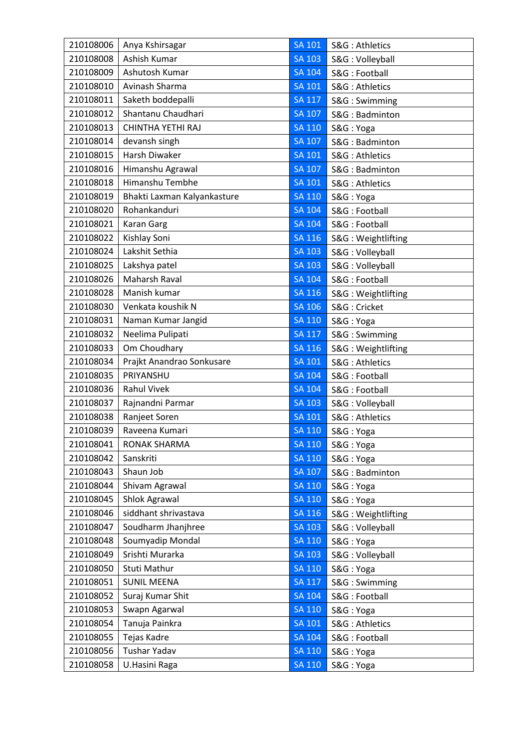| 210108006 | Anya Kshirsagar             | <b>SA 101</b> | S&G: Athletics     |
|-----------|-----------------------------|---------------|--------------------|
| 210108008 | Ashish Kumar                | <b>SA 103</b> | S&G: Volleyball    |
| 210108009 | Ashutosh Kumar              | <b>SA 104</b> | S&G: Football      |
| 210108010 | Avinash Sharma              | <b>SA 101</b> | S&G: Athletics     |
| 210108011 | Saketh boddepalli           | <b>SA 117</b> | S&G: Swimming      |
| 210108012 | Shantanu Chaudhari          | <b>SA 107</b> | S&G: Badminton     |
| 210108013 | CHINTHA YETHI RAJ           | SA 110        | S&G: Yoga          |
| 210108014 | devansh singh               | SA 107        | S&G: Badminton     |
| 210108015 | <b>Harsh Diwaker</b>        | <b>SA 101</b> | S&G: Athletics     |
| 210108016 | Himanshu Agrawal            | <b>SA 107</b> | S&G: Badminton     |
| 210108018 | Himanshu Tembhe             | SA 101        | S&G: Athletics     |
| 210108019 | Bhakti Laxman Kalyankasture | <b>SA 110</b> | S&G: Yoga          |
| 210108020 | Rohankanduri                | SA 104        | S&G: Football      |
| 210108021 | <b>Karan Garg</b>           | SA 104        | S&G: Football      |
| 210108022 | Kishlay Soni                | <b>SA 116</b> | S&G: Weightlifting |
| 210108024 | Lakshit Sethia              | <b>SA 103</b> | S&G: Volleyball    |
| 210108025 | Lakshya patel               | <b>SA 103</b> | S&G: Volleyball    |
| 210108026 | Maharsh Raval               | <b>SA 104</b> | S&G: Football      |
| 210108028 | Manish kumar                | <b>SA 116</b> | S&G: Weightlifting |
| 210108030 | Venkata koushik N           | SA 106        | S&G: Cricket       |
| 210108031 | Naman Kumar Jangid          | <b>SA 110</b> | S&G: Yoga          |
| 210108032 | Neelima Pulipati            | <b>SA 117</b> | S&G: Swimming      |
| 210108033 | Om Choudhary                | <b>SA 116</b> | S&G: Weightlifting |
| 210108034 | Prajkt Anandrao Sonkusare   | <b>SA 101</b> | S&G: Athletics     |
| 210108035 | PRIYANSHU                   | <b>SA 104</b> | S&G: Football      |
| 210108036 | <b>Rahul Vivek</b>          | <b>SA 104</b> | S&G: Football      |
| 210108037 | Rajnandni Parmar            | <b>SA 103</b> | S&G: Volleyball    |
| 210108038 | Ranjeet Soren               | <b>SA 101</b> | S&G: Athletics     |
| 210108039 | Raveena Kumari              | <b>SA 110</b> | S&G: Yoga          |
| 210108041 | <b>RONAK SHARMA</b>         | <b>SA 110</b> | S&G: Yoga          |
| 210108042 | Sanskriti                   | <b>SA 110</b> | S&G: Yoga          |
| 210108043 | Shaun Job                   | <b>SA 107</b> | S&G: Badminton     |
| 210108044 | Shivam Agrawal              | <b>SA 110</b> | S&G: Yoga          |
| 210108045 | Shlok Agrawal               | <b>SA 110</b> | S&G: Yoga          |
| 210108046 | siddhant shrivastava        | <b>SA 116</b> | S&G: Weightlifting |
| 210108047 | Soudharm Jhanjhree          | <b>SA 103</b> | S&G: Volleyball    |
| 210108048 | Soumyadip Mondal            | <b>SA 110</b> | S&G: Yoga          |
| 210108049 | Srishti Murarka             | <b>SA 103</b> | S&G: Volleyball    |
| 210108050 | Stuti Mathur                | <b>SA 110</b> | S&G: Yoga          |
| 210108051 | <b>SUNIL MEENA</b>          | <b>SA 117</b> | S&G: Swimming      |
| 210108052 | Suraj Kumar Shit            | <b>SA 104</b> | S&G: Football      |
| 210108053 | Swapn Agarwal               | <b>SA 110</b> | S&G: Yoga          |
| 210108054 | Tanuja Painkra              | SA 101        | S&G: Athletics     |
| 210108055 | Tejas Kadre                 | <b>SA 104</b> | S&G: Football      |
| 210108056 | Tushar Yadav                | <b>SA 110</b> | S&G: Yoga          |
| 210108058 | U.Hasini Raga               | <b>SA 110</b> | S&G: Yoga          |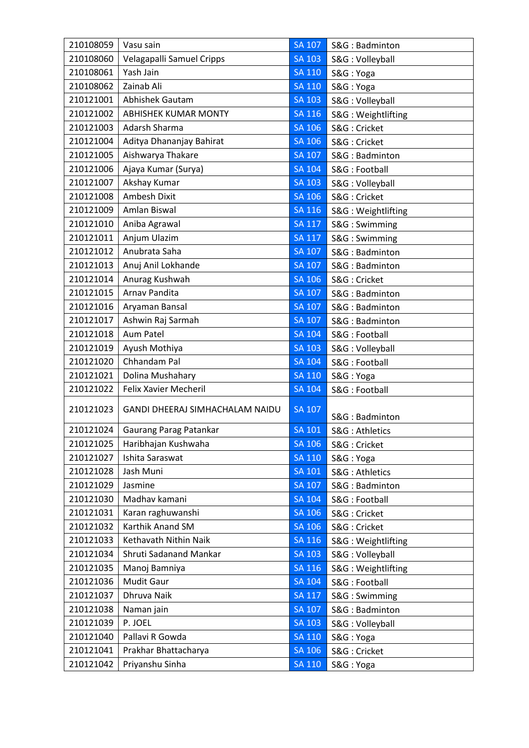| 210108059 | Vasu sain                              | <b>SA 107</b> | S&G: Badminton     |
|-----------|----------------------------------------|---------------|--------------------|
| 210108060 | Velagapalli Samuel Cripps              | <b>SA 103</b> | S&G: Volleyball    |
| 210108061 | Yash Jain                              | <b>SA 110</b> | S&G: Yoga          |
| 210108062 | Zainab Ali                             | <b>SA 110</b> | S&G: Yoga          |
| 210121001 | <b>Abhishek Gautam</b>                 | <b>SA 103</b> | S&G: Volleyball    |
| 210121002 | <b>ABHISHEK KUMAR MONTY</b>            | <b>SA 116</b> | S&G: Weightlifting |
| 210121003 | Adarsh Sharma                          | SA 106        | S&G: Cricket       |
| 210121004 | Aditya Dhananjay Bahirat               | <b>SA 106</b> | S&G: Cricket       |
| 210121005 | Aishwarya Thakare                      | <b>SA 107</b> | S&G: Badminton     |
| 210121006 | Ajaya Kumar (Surya)                    | <b>SA 104</b> | S&G: Football      |
| 210121007 | Akshay Kumar                           | <b>SA 103</b> | S&G: Volleyball    |
| 210121008 | Ambesh Dixit                           | <b>SA 106</b> | S&G: Cricket       |
| 210121009 | Amlan Biswal                           | SA 116        | S&G: Weightlifting |
| 210121010 | Aniba Agrawal                          | <b>SA 117</b> | S&G: Swimming      |
| 210121011 | Anjum Ulazim                           | $SA$ $117$    | S&G: Swimming      |
| 210121012 | Anubrata Saha                          | <b>SA 107</b> | S&G: Badminton     |
| 210121013 | Anuj Anil Lokhande                     | <b>SA 107</b> | S&G: Badminton     |
| 210121014 | Anurag Kushwah                         | <b>SA 106</b> | S&G: Cricket       |
| 210121015 | Arnav Pandita                          | SA 107        | S&G: Badminton     |
| 210121016 | Aryaman Bansal                         | SA 107        | S&G: Badminton     |
| 210121017 | Ashwin Raj Sarmah                      | <b>SA 107</b> | S&G: Badminton     |
| 210121018 | Aum Patel                              | <b>SA 104</b> | S&G: Football      |
| 210121019 | Ayush Mothiya                          | <b>SA 103</b> | S&G: Volleyball    |
| 210121020 | Chhandam Pal                           | <b>SA 104</b> | S&G: Football      |
| 210121021 | Dolina Mushahary                       | <b>SA 110</b> | S&G: Yoga          |
| 210121022 | Felix Xavier Mecheril                  | <b>SA 104</b> | S&G: Football      |
| 210121023 | <b>GANDI DHEERAJ SIMHACHALAM NAIDU</b> | <b>SA 107</b> | S&G: Badminton     |
| 210121024 | <b>Gaurang Parag Patankar</b>          | <b>SA 101</b> | S&G: Athletics     |
| 210121025 | Haribhajan Kushwaha                    | <b>SA 106</b> | S&G: Cricket       |
| 210121027 | Ishita Saraswat                        | <b>SA 110</b> | S&G: Yoga          |
| 210121028 | Jash Muni                              | <b>SA 101</b> | S&G: Athletics     |
| 210121029 | Jasmine                                | <b>SA 107</b> | S&G: Badminton     |
| 210121030 | Madhav kamani                          | <b>SA 104</b> | S&G: Football      |
| 210121031 | Karan raghuwanshi                      | <b>SA 106</b> | S&G: Cricket       |
| 210121032 | Karthik Anand SM                       | SA 106        | S&G: Cricket       |
| 210121033 | Kethavath Nithin Naik                  | <b>SA 116</b> | S&G: Weightlifting |
| 210121034 | Shruti Sadanand Mankar                 | <b>SA 103</b> | S&G: Volleyball    |
| 210121035 | Manoj Bamniya                          | <b>SA 116</b> | S&G: Weightlifting |
| 210121036 | Mudit Gaur                             | <b>SA 104</b> | S&G: Football      |
| 210121037 | Dhruva Naik                            | <b>SA 117</b> | S&G: Swimming      |
| 210121038 | Naman jain                             | <b>SA 107</b> | S&G: Badminton     |
| 210121039 | P. JOEL                                | <b>SA 103</b> | S&G: Volleyball    |
| 210121040 | Pallavi R Gowda                        | <b>SA 110</b> | S&G: Yoga          |
| 210121041 | Prakhar Bhattacharya                   | <b>SA 106</b> | S&G: Cricket       |
| 210121042 | Priyanshu Sinha                        | <b>SA 110</b> | S&G: Yoga          |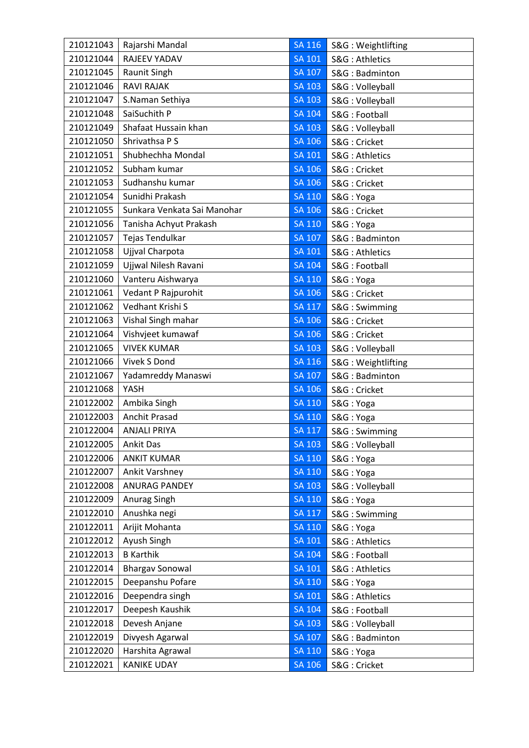| 210121043 | Rajarshi Mandal             | <b>SA 116</b> | S&G: Weightlifting |
|-----------|-----------------------------|---------------|--------------------|
| 210121044 | RAJEEV YADAV                | SA 101        | S&G: Athletics     |
| 210121045 | Raunit Singh                | SA 107        | S&G: Badminton     |
| 210121046 | <b>RAVI RAJAK</b>           | <b>SA 103</b> | S&G: Volleyball    |
| 210121047 | S.Naman Sethiya             | <b>SA 103</b> | S&G: Volleyball    |
| 210121048 | SaiSuchith P                | <b>SA 104</b> | S&G: Football      |
| 210121049 | Shafaat Hussain khan        | <b>SA 103</b> | S&G: Volleyball    |
| 210121050 | Shrivathsa P S              | <b>SA 106</b> | S&G: Cricket       |
| 210121051 | Shubhechha Mondal           | SA 101        | S&G: Athletics     |
| 210121052 | Subham kumar                | SA 106        | S&G: Cricket       |
| 210121053 | Sudhanshu kumar             | <b>SA 106</b> | S&G: Cricket       |
| 210121054 | Sunidhi Prakash             | <b>SA 110</b> | S&G: Yoga          |
| 210121055 | Sunkara Venkata Sai Manohar | <b>SA 106</b> | S&G: Cricket       |
| 210121056 | Tanisha Achyut Prakash      | SA 110        | S&G: Yoga          |
| 210121057 | Tejas Tendulkar             | SA 107        | S&G: Badminton     |
| 210121058 | Ujjval Charpota             | <b>SA 101</b> | S&G: Athletics     |
| 210121059 | Ujjwal Nilesh Ravani        | <b>SA 104</b> | S&G: Football      |
| 210121060 | Vanteru Aishwarya           | <b>SA 110</b> | S&G: Yoga          |
| 210121061 | Vedant P Rajpurohit         | <b>SA 106</b> | S&G: Cricket       |
| 210121062 | Vedhant Krishi S            | <b>SA 117</b> | S&G: Swimming      |
| 210121063 | Vishal Singh mahar          | SA 106        | S&G: Cricket       |
| 210121064 | Vishvjeet kumawaf           | SA 106        | S&G: Cricket       |
| 210121065 | <b>VIVEK KUMAR</b>          | <b>SA 103</b> | S&G: Volleyball    |
| 210121066 | Vivek S Dond                | <b>SA 116</b> | S&G: Weightlifting |
| 210121067 | Yadamreddy Manaswi          | <b>SA 107</b> | S&G: Badminton     |
| 210121068 | YASH                        | SA 106        | S&G: Cricket       |
| 210122002 | Ambika Singh                | SA 110        | S&G: Yoga          |
| 210122003 | Anchit Prasad               | <b>SA 110</b> | S&G: Yoga          |
| 210122004 | <b>ANJALI PRIYA</b>         | <b>SA 117</b> | S&G: Swimming      |
| 210122005 | <b>Ankit Das</b>            | <b>SA 103</b> | S&G: Volleyball    |
| 210122006 | <b>ANKIT KUMAR</b>          | <b>SA 110</b> | S&G: Yoga          |
| 210122007 | Ankit Varshney              | <b>SA 110</b> | S&G: Yoga          |
| 210122008 | ANURAG PANDEY               | <b>SA 103</b> | S&G: Volleyball    |
| 210122009 | Anurag Singh                | <b>SA 110</b> | S&G: Yoga          |
| 210122010 | Anushka negi                | <b>SA 117</b> | S&G: Swimming      |
| 210122011 | Arijit Mohanta              | <b>SA 110</b> | S&G: Yoga          |
| 210122012 | Ayush Singh                 | <b>SA 101</b> | S&G: Athletics     |
| 210122013 | <b>B</b> Karthik            | <b>SA 104</b> | S&G: Football      |
| 210122014 | <b>Bhargav Sonowal</b>      | <b>SA 101</b> | S&G: Athletics     |
| 210122015 | Deepanshu Pofare            | <b>SA 110</b> | S&G: Yoga          |
| 210122016 | Deependra singh             | <b>SA 101</b> | S&G: Athletics     |
| 210122017 | Deepesh Kaushik             | <b>SA 104</b> | S&G: Football      |
| 210122018 | Devesh Anjane               | <b>SA 103</b> | S&G: Volleyball    |
| 210122019 | Divyesh Agarwal             | SA 107        | S&G: Badminton     |
| 210122020 | Harshita Agrawal            | <b>SA 110</b> | S&G: Yoga          |
| 210122021 | <b>KANIKE UDAY</b>          | SA 106        | S&G: Cricket       |
|           |                             |               |                    |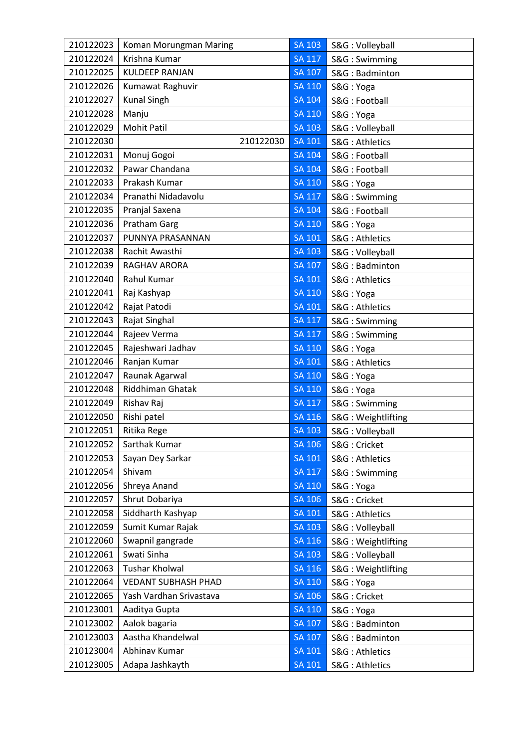| 210122023 | Koman Morungman Maring     | <b>SA 103</b> | S&G: Volleyball    |
|-----------|----------------------------|---------------|--------------------|
| 210122024 | Krishna Kumar              | <b>SA 117</b> | S&G: Swimming      |
| 210122025 | <b>KULDEEP RANJAN</b>      | <b>SA 107</b> | S&G: Badminton     |
| 210122026 | Kumawat Raghuvir           | <b>SA 110</b> | S&G: Yoga          |
| 210122027 | <b>Kunal Singh</b>         | <b>SA 104</b> | S&G: Football      |
| 210122028 | Manju                      | <b>SA 110</b> | S&G: Yoga          |
| 210122029 | <b>Mohit Patil</b>         | <b>SA 103</b> | S&G: Volleyball    |
| 210122030 | 210122030                  | <b>SA 101</b> | S&G: Athletics     |
| 210122031 | Monuj Gogoi                | <b>SA 104</b> | S&G: Football      |
| 210122032 | Pawar Chandana             | <b>SA 104</b> | S&G: Football      |
| 210122033 | Prakash Kumar              | <b>SA 110</b> | S&G: Yoga          |
| 210122034 | Pranathi Nidadavolu        | <b>SA 117</b> | S&G: Swimming      |
| 210122035 | Pranjal Saxena             | <b>SA 104</b> | S&G: Football      |
| 210122036 | Pratham Garg               | <b>SA 110</b> | S&G: Yoga          |
| 210122037 | PUNNYA PRASANNAN           | <b>SA 101</b> | S&G: Athletics     |
| 210122038 | Rachit Awasthi             | <b>SA 103</b> | S&G: Volleyball    |
| 210122039 | RAGHAV ARORA               | <b>SA 107</b> | S&G: Badminton     |
| 210122040 | Rahul Kumar                | <b>SA 101</b> | S&G: Athletics     |
| 210122041 | Raj Kashyap                | <b>SA 110</b> | S&G: Yoga          |
| 210122042 | Rajat Patodi               | <b>SA 101</b> | S&G: Athletics     |
| 210122043 | Rajat Singhal              | <b>SA 117</b> | S&G: Swimming      |
| 210122044 | Rajeev Verma               | <b>SA 117</b> | S&G: Swimming      |
| 210122045 | Rajeshwari Jadhav          | SA 110        | S&G: Yoga          |
| 210122046 | Ranjan Kumar               | SA 101        | S&G: Athletics     |
| 210122047 | Raunak Agarwal             | <b>SA 110</b> | S&G: Yoga          |
| 210122048 | Riddhiman Ghatak           | <b>SA 110</b> | S&G: Yoga          |
| 210122049 | Rishav Raj                 | <b>SA 117</b> | S&G: Swimming      |
| 210122050 | Rishi patel                | <b>SA 116</b> | S&G: Weightlifting |
| 210122051 | Ritika Rege                | <b>SA 103</b> | S&G: Volleyball    |
| 210122052 | Sarthak Kumar              | <b>SA 106</b> | S&G: Cricket       |
| 210122053 | Sayan Dey Sarkar           | <b>SA 101</b> | S&G: Athletics     |
| 210122054 | Shivam                     | <b>SA 117</b> | S&G: Swimming      |
| 210122056 | Shreya Anand               | <b>SA 110</b> | S&G: Yoga          |
| 210122057 | Shrut Dobariya             | <b>SA 106</b> | S&G: Cricket       |
| 210122058 | Siddharth Kashyap          | <b>SA 101</b> | S&G: Athletics     |
| 210122059 | Sumit Kumar Rajak          | <b>SA 103</b> | S&G: Volleyball    |
| 210122060 | Swapnil gangrade           | SA 116        | S&G: Weightlifting |
| 210122061 | Swati Sinha                | <b>SA 103</b> | S&G: Volleyball    |
| 210122063 | Tushar Kholwal             | <b>SA 116</b> | S&G: Weightlifting |
| 210122064 | <b>VEDANT SUBHASH PHAD</b> | <b>SA 110</b> | S&G: Yoga          |
| 210122065 | Yash Vardhan Srivastava    | <b>SA 106</b> | S&G: Cricket       |
| 210123001 | Aaditya Gupta              | <b>SA 110</b> | S&G: Yoga          |
| 210123002 | Aalok bagaria              | SA 107        | S&G: Badminton     |
| 210123003 | Aastha Khandelwal          | <b>SA 107</b> | S&G: Badminton     |
| 210123004 | Abhinav Kumar              | <b>SA 101</b> | S&G: Athletics     |
| 210123005 | Adapa Jashkayth            | <b>SA 101</b> | S&G: Athletics     |
|           |                            |               |                    |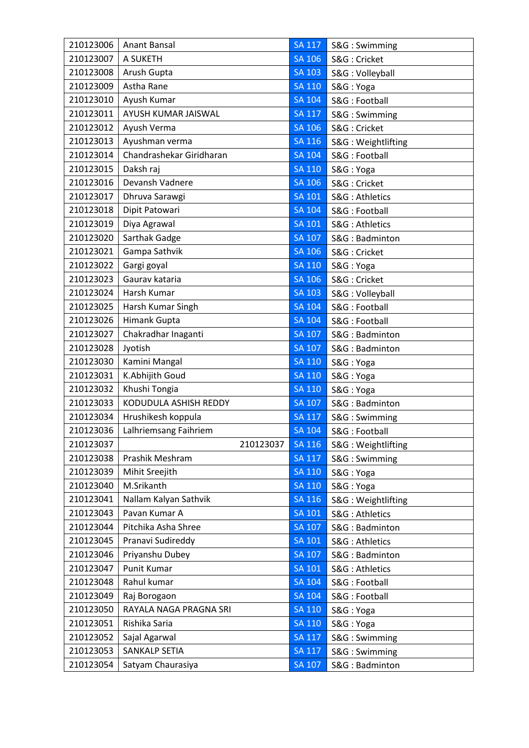| 210123006 | Anant Bansal             | <b>SA 117</b> | S&G: Swimming      |
|-----------|--------------------------|---------------|--------------------|
| 210123007 | A SUKETH                 | SA 106        | S&G: Cricket       |
| 210123008 | Arush Gupta              | <b>SA 103</b> | S&G: Volleyball    |
| 210123009 | Astha Rane               | <b>SA 110</b> | S&G: Yoga          |
| 210123010 | Ayush Kumar              | <b>SA 104</b> | S&G: Football      |
| 210123011 | AYUSH KUMAR JAISWAL      | <b>SA 117</b> | S&G: Swimming      |
| 210123012 | Ayush Verma              | <b>SA 106</b> | S&G: Cricket       |
| 210123013 | Ayushman verma           | SA 116        | S&G: Weightlifting |
| 210123014 | Chandrashekar Giridharan | <b>SA 104</b> | S&G: Football      |
| 210123015 | Daksh raj                | <b>SA 110</b> | S&G: Yoga          |
| 210123016 | Devansh Vadnere          | <b>SA 106</b> | S&G: Cricket       |
| 210123017 | Dhruva Sarawgi           | <b>SA 101</b> | S&G: Athletics     |
| 210123018 | Dipit Patowari           | <b>SA 104</b> | S&G: Football      |
| 210123019 | Diya Agrawal             | <b>SA 101</b> | S&G: Athletics     |
| 210123020 | Sarthak Gadge            | <b>SA 107</b> | S&G: Badminton     |
| 210123021 | Gampa Sathvik            | <b>SA 106</b> | S&G: Cricket       |
| 210123022 | Gargi goyal              | <b>SA 110</b> | S&G: Yoga          |
| 210123023 | Gaurav kataria           | <b>SA 106</b> | S&G: Cricket       |
| 210123024 | Harsh Kumar              | <b>SA 103</b> | S&G: Volleyball    |
| 210123025 | Harsh Kumar Singh        | <b>SA 104</b> | S&G: Football      |
| 210123026 | Himank Gupta             | <b>SA 104</b> | S&G: Football      |
| 210123027 | Chakradhar Inaganti      | <b>SA 107</b> | S&G: Badminton     |
| 210123028 | Jyotish                  | <b>SA 107</b> | S&G: Badminton     |
| 210123030 | Kamini Mangal            | SA 110        | S&G: Yoga          |
| 210123031 | K.Abhijith Goud          | <b>SA 110</b> | S&G: Yoga          |
| 210123032 | Khushi Tongia            | <b>SA 110</b> | S&G: Yoga          |
| 210123033 | KODUDULA ASHISH REDDY    | <b>SA 107</b> | S&G: Badminton     |
| 210123034 | Hrushikesh koppula       | <b>SA 117</b> | S&G: Swimming      |
| 210123036 | Lalhriemsang Faihriem    | <b>SA 104</b> | S&G: Football      |
| 210123037 | 210123037                | <b>SA 116</b> | S&G: Weightlifting |
| 210123038 | Prashik Meshram          | <b>SA 117</b> | S&G: Swimming      |
| 210123039 | Mihit Sreejith           | <b>SA 110</b> | S&G: Yoga          |
| 210123040 | M.Srikanth               | <b>SA 110</b> | S&G: Yoga          |
| 210123041 | Nallam Kalyan Sathvik    | <b>SA 116</b> | S&G: Weightlifting |
| 210123043 | Pavan Kumar A            | <b>SA 101</b> | S&G: Athletics     |
| 210123044 | Pitchika Asha Shree      | SA 107        | S&G: Badminton     |
| 210123045 | Pranavi Sudireddy        | SA 101        | S&G: Athletics     |
| 210123046 | Priyanshu Dubey          | <b>SA 107</b> | S&G: Badminton     |
| 210123047 | Punit Kumar              | <b>SA 101</b> | S&G: Athletics     |
| 210123048 | Rahul kumar              | <b>SA 104</b> | S&G: Football      |
| 210123049 | Raj Borogaon             | <b>SA 104</b> | S&G: Football      |
| 210123050 | RAYALA NAGA PRAGNA SRI   | SA 110        | S&G: Yoga          |
| 210123051 | Rishika Saria            | SA 110        | S&G: Yoga          |
| 210123052 | Sajal Agarwal            | <b>SA 117</b> | S&G: Swimming      |
| 210123053 | SANKALP SETIA            | <b>SA 117</b> | S&G: Swimming      |
| 210123054 | Satyam Chaurasiya        | <b>SA 107</b> | S&G: Badminton     |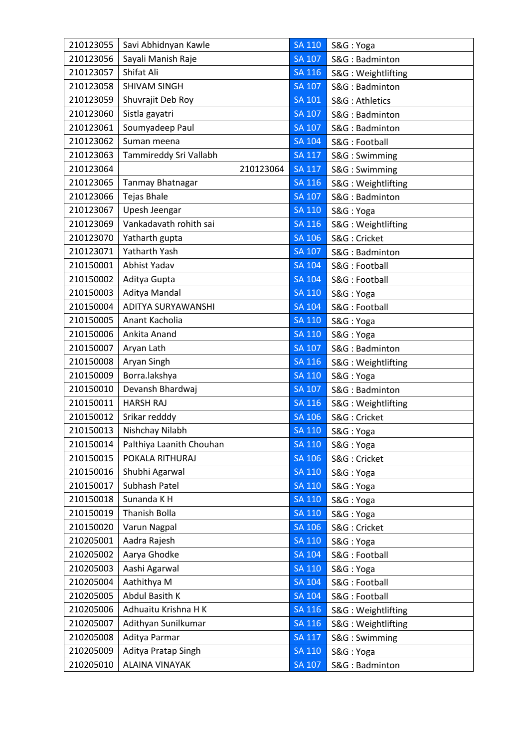| 210123055 | Savi Abhidnyan Kawle     | <b>SA 110</b> | S&G: Yoga          |
|-----------|--------------------------|---------------|--------------------|
| 210123056 | Sayali Manish Raje       | <b>SA 107</b> | S&G: Badminton     |
| 210123057 | Shifat Ali               | SA 116        | S&G: Weightlifting |
| 210123058 | SHIVAM SINGH             | <b>SA 107</b> | S&G: Badminton     |
| 210123059 | Shuvrajit Deb Roy        | <b>SA 101</b> | S&G: Athletics     |
| 210123060 | Sistla gayatri           | <b>SA 107</b> | S&G: Badminton     |
| 210123061 | Soumyadeep Paul          | <b>SA 107</b> | S&G: Badminton     |
| 210123062 | Suman meena              | SA 104        | S&G: Football      |
| 210123063 | Tammireddy Sri Vallabh   | <b>SA 117</b> | S&G: Swimming      |
| 210123064 | 210123064                | <b>SA 117</b> | S&G: Swimming      |
| 210123065 | Tanmay Bhatnagar         | SA 116        | S&G: Weightlifting |
| 210123066 | <b>Tejas Bhale</b>       | <b>SA 107</b> | S&G: Badminton     |
| 210123067 | Upesh Jeengar            | <b>SA 110</b> | S&G: Yoga          |
| 210123069 | Vankadavath rohith sai   | <b>SA 116</b> | S&G: Weightlifting |
| 210123070 | Yatharth gupta           | $S$ A 106     | S&G: Cricket       |
| 210123071 | <b>Yatharth Yash</b>     | <b>SA 107</b> | S&G: Badminton     |
| 210150001 | Abhist Yadav             | <b>SA 104</b> | S&G: Football      |
| 210150002 | Aditya Gupta             | <b>SA 104</b> | S&G: Football      |
| 210150003 | Aditya Mandal            | <b>SA 110</b> | S&G: Yoga          |
| 210150004 | ADITYA SURYAWANSHI       | <b>SA 104</b> | S&G: Football      |
| 210150005 | Anant Kacholia           | SA 110        | S&G: Yoga          |
| 210150006 | Ankita Anand             | <b>SA 110</b> | S&G: Yoga          |
| 210150007 | Aryan Lath               | SA 107        | S&G: Badminton     |
| 210150008 | Aryan Singh              | SA 116        | S&G: Weightlifting |
| 210150009 | Borra.lakshya            | <b>SA 110</b> | S&G: Yoga          |
| 210150010 | Devansh Bhardwaj         | SA 107        | S&G: Badminton     |
| 210150011 | <b>HARSH RAJ</b>         | SA 116        | S&G: Weightlifting |
| 210150012 | Srikar redddy            | <b>SA 106</b> | S&G: Cricket       |
| 210150013 | Nishchay Nilabh          | SA 110        | S&G: Yoga          |
| 210150014 | Palthiya Laanith Chouhan | <b>SA 110</b> | S&G: Yoga          |
| 210150015 | POKALA RITHURAJ          | <b>SA 106</b> | S&G: Cricket       |
| 210150016 | Shubhi Agarwal           | <b>SA 110</b> | S&G: Yoga          |
| 210150017 | Subhash Patel            | SA 110        | S&G: Yoga          |
| 210150018 | Sunanda K H              | <b>SA 110</b> | S&G: Yoga          |
| 210150019 | Thanish Bolla            | <b>SA 110</b> | S&G: Yoga          |
| 210150020 | Varun Nagpal             | SA 106        | S&G: Cricket       |
| 210205001 | Aadra Rajesh             | <b>SA 110</b> | S&G: Yoga          |
| 210205002 | Aarya Ghodke             | <b>SA 104</b> | S&G: Football      |
| 210205003 | Aashi Agarwal            | <b>SA 110</b> | S&G: Yoga          |
| 210205004 | Aathithya M              | SA 104        | S&G: Football      |
| 210205005 | Abdul Basith K           | <b>SA 104</b> | S&G: Football      |
| 210205006 | Adhuaitu Krishna H K     | SA 116        | S&G: Weightlifting |
| 210205007 | Adithyan Sunilkumar      | SA 116        | S&G: Weightlifting |
| 210205008 | Aditya Parmar            | <b>SA 117</b> | S&G: Swimming      |
| 210205009 | Aditya Pratap Singh      | <b>SA 110</b> | S&G: Yoga          |
| 210205010 | ALAINA VINAYAK           | SA 107        | S&G: Badminton     |
|           |                          |               |                    |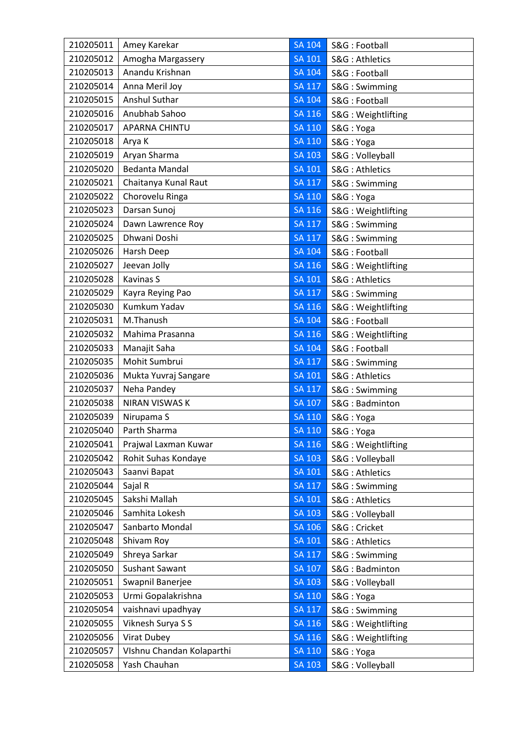| 210205011 | Amey Karekar              | <b>SA 104</b> | S&G: Football      |
|-----------|---------------------------|---------------|--------------------|
| 210205012 | Amogha Margassery         | <b>SA 101</b> | S&G: Athletics     |
| 210205013 | Anandu Krishnan           | <b>SA 104</b> | S&G: Football      |
| 210205014 | Anna Meril Joy            | <b>SA 117</b> | S&G: Swimming      |
| 210205015 | Anshul Suthar             | <b>SA 104</b> | S&G: Football      |
| 210205016 | Anubhab Sahoo             | SA 116        | S&G: Weightlifting |
| 210205017 | <b>APARNA CHINTU</b>      | SA 110        | S&G: Yoga          |
| 210205018 | Arya K                    | <b>SA 110</b> | S&G: Yoga          |
| 210205019 | Aryan Sharma              | <b>SA 103</b> | S&G: Volleyball    |
| 210205020 | <b>Bedanta Mandal</b>     | <b>SA 101</b> | S&G: Athletics     |
| 210205021 | Chaitanya Kunal Raut      | <b>SA 117</b> | S&G: Swimming      |
| 210205022 | Chorovelu Ringa           | <b>SA 110</b> | S&G: Yoga          |
| 210205023 | Darsan Sunoj              | SA 116        | S&G: Weightlifting |
| 210205024 | Dawn Lawrence Roy         | <b>SA 117</b> | S&G: Swimming      |
| 210205025 | Dhwani Doshi              | <b>SA 117</b> | S&G: Swimming      |
| 210205026 | Harsh Deep                | <b>SA 104</b> | S&G: Football      |
| 210205027 | Jeevan Jolly              | SA 116        | S&G: Weightlifting |
| 210205028 | Kavinas S                 | <b>SA 101</b> | S&G: Athletics     |
| 210205029 | Kayra Reying Pao          | <b>SA 117</b> | S&G: Swimming      |
| 210205030 | Kumkum Yadav              | SA 116        | S&G: Weightlifting |
| 210205031 | M.Thanush                 | <b>SA 104</b> | S&G: Football      |
| 210205032 | Mahima Prasanna           | <b>SA 116</b> | S&G: Weightlifting |
| 210205033 | Manajit Saha              | <b>SA 104</b> | S&G: Football      |
| 210205035 | Mohit Sumbrui             | <b>SA 117</b> | S&G: Swimming      |
| 210205036 | Mukta Yuvraj Sangare      | <b>SA 101</b> | S&G: Athletics     |
| 210205037 | Neha Pandey               | <b>SA 117</b> | S&G: Swimming      |
| 210205038 | <b>NIRAN VISWAS K</b>     | <b>SA 107</b> | S&G: Badminton     |
| 210205039 | Nirupama S                | <b>SA 110</b> | S&G: Yoga          |
| 210205040 | Parth Sharma              | <b>SA 110</b> | S&G: Yoga          |
| 210205041 | Prajwal Laxman Kuwar      | <b>SA 116</b> | S&G: Weightlifting |
| 210205042 | Rohit Suhas Kondaye       | <b>SA 103</b> | S&G: Volleyball    |
| 210205043 | Saanvi Bapat              | <b>SA 101</b> | S&G: Athletics     |
| 210205044 | Sajal R                   | <b>SA 117</b> | S&G: Swimming      |
| 210205045 | Sakshi Mallah             | <b>SA 101</b> | S&G: Athletics     |
| 210205046 | Samhita Lokesh            | <b>SA 103</b> | S&G: Volleyball    |
| 210205047 | Sanbarto Mondal           | SA 106        | S&G: Cricket       |
| 210205048 | Shivam Roy                | <b>SA 101</b> | S&G: Athletics     |
| 210205049 | Shreya Sarkar             | <b>SA 117</b> | S&G: Swimming      |
| 210205050 | Sushant Sawant            | <b>SA 107</b> | S&G: Badminton     |
| 210205051 | Swapnil Banerjee          | <b>SA 103</b> | S&G: Volleyball    |
| 210205053 | Urmi Gopalakrishna        | <b>SA 110</b> | S&G: Yoga          |
| 210205054 | vaishnavi upadhyay        | <b>SA 117</b> | S&G: Swimming      |
| 210205055 | Viknesh Surya S S         | SA 116        | S&G: Weightlifting |
| 210205056 | <b>Virat Dubey</b>        | <b>SA 116</b> | S&G: Weightlifting |
| 210205057 | VIshnu Chandan Kolaparthi | <b>SA 110</b> | S&G: Yoga          |
| 210205058 | Yash Chauhan              | <b>SA 103</b> | S&G: Volleyball    |